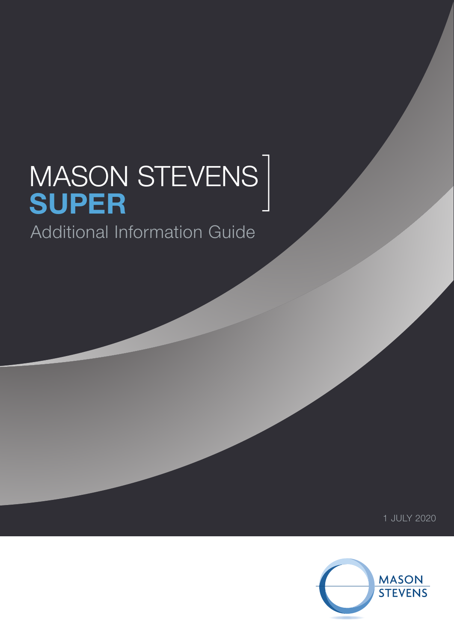## MASON STEVENS **SUPER** Additional Information Guide ]

1 JULY 2020

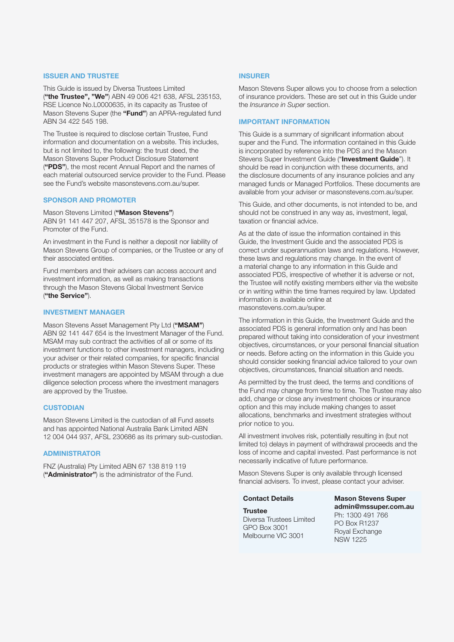## **ISSUER AND TRUSTEE**

This Guide is issued by Diversa Trustees Limited (**"the Trustee", "We"**) ABN 49 006 421 638, AFSL 235153, RSE Licence No.L0000635, in its capacity as Trustee of Mason Stevens Super (the **"Fund"**) an APRA-regulated fund ABN 34 422 545 198.

The Trustee is required to disclose certain Trustee, Fund information and documentation on a website. This includes, but is not limited to, the following: the trust deed, the Mason Stevens Super Product Disclosure Statement (**"PDS"**), the most recent Annual Report and the names of each material outsourced service provider to the Fund. Please see the Fund's website masonstevens.com.au/super.

#### **SPONSOR AND PROMOTER**

Mason Stevens Limited (**"Mason Stevens"**) ABN 91 141 447 207, AFSL 351578 is the Sponsor and Promoter of the Fund.

An investment in the Fund is neither a deposit nor liability of Mason Stevens Group of companies, or the Trustee or any of their associated entities.

Fund members and their advisers can access account and investment information, as well as making transactions through the Mason Stevens Global Investment Service (**"the Service"**).

#### **INVESTMENT MANAGER**

Mason Stevens Asset Management Pty Ltd (**"MSAM"**) ABN 92 141 447 654 is the Investment Manager of the Fund. MSAM may sub contract the activities of all or some of its investment functions to other investment managers, including your adviser or their related companies, for specific financial products or strategies within Mason Stevens Super. These investment managers are appointed by MSAM through a due diligence selection process where the investment managers are approved by the Trustee.

#### **CUSTODIAN**

Mason Stevens Limited is the custodian of all Fund assets and has appointed National Australia Bank Limited ABN 12 004 044 937, AFSL 230686 as its primary sub-custodian.

## **ADMINISTRATOR**

FNZ (Australia) Pty Limited ABN 67 138 819 119 (**"Administrator"**) is the administrator of the Fund.

## **INSURER**

Mason Stevens Super allows you to choose from a selection of insurance providers. These are set out in this Guide under the *Insurance in Super* section.

#### **IMPORTANT INFORMATION**

This Guide is a summary of significant information about super and the Fund. The information contained in this Guide is incorporated by reference into the PDS and the Mason Stevens Super Investment Guide ("**Investment Guide**"). It should be read in conjunction with these documents, and the disclosure documents of any insurance policies and any managed funds or Managed Portfolios. These documents are available from your adviser or masonstevens.com.au/super.

This Guide, and other documents, is not intended to be, and should not be construed in any way as, investment, legal, taxation or financial advice.

As at the date of issue the information contained in this Guide, the Investment Guide and the associated PDS is correct under superannuation laws and regulations. However, these laws and regulations may change. In the event of a material change to any information in this Guide and associated PDS, irrespective of whether it is adverse or not, the Trustee will notify existing members either via the website or in writing within the time frames required by law. Updated information is available online at [masonstevens.com.au/super.](http://www.masonstevens.com.au/super)

The information in this Guide, the Investment Guide and the associated PDS is general information only and has been prepared without taking into consideration of your investment objectives, circumstances, or your personal financial situation or needs. Before acting on the information in this Guide you should consider seeking financial advice tailored to your own objectives, circumstances, financial situation and needs.

As permitted by the trust deed, the terms and conditions of the Fund may change from time to time. The Trustee may also add, change or close any investment choices or insurance option and this may include making changes to asset allocations, benchmarks and investment strategies without prior notice to you.

All investment involves risk, potentially resulting in (but not limited to) delays in payment of withdrawal proceeds and the loss of income and capital invested. Past performance is not necessarily indicative of future performance.

Mason Stevens Super is only available through licensed financial advisers. To invest, please contact your adviser.

#### **Contact Details**

**Trustee**

Diversa Trustees Limited GPO Box 3001 Melbourne VIC 3001

**Mason Stevens Super admin@mssuper.com.au** Ph: 1300 491 766 PO Box R1237 Royal Exchange NSW 1225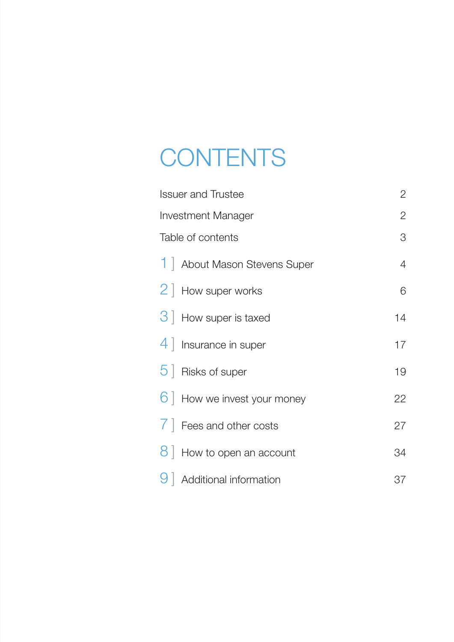# **CONTENTS**

| <b>Issuer and Trustee</b>             | $\overline{2}$ |
|---------------------------------------|----------------|
| <b>Investment Manager</b>             | $\overline{2}$ |
| Table of contents                     | 3              |
| 1   About Mason Stevens Super         | $\overline{4}$ |
| 2   How super works                   | 6              |
| 3 How super is taxed                  | 14             |
| 4   Insurance in super                | 17             |
| $5$   Risks of super                  | 19             |
| 6   How we invest your money          | 22             |
| $\overline{7}$   Fees and other costs | 27             |
| $8$ How to open an account            | 34             |
| $9$   Additional information          | 37             |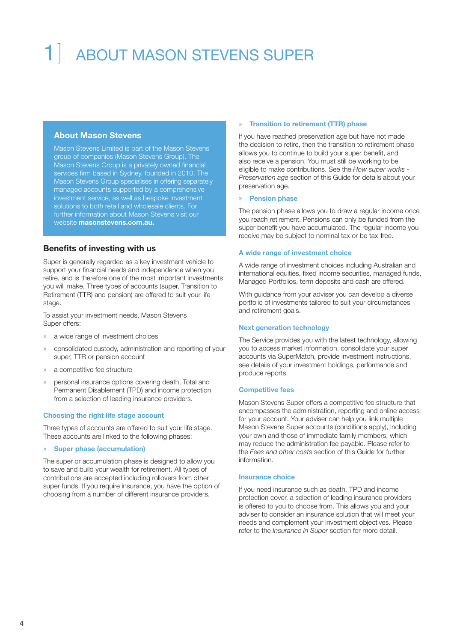# ABOUT MASON STEVENS SUPER

## **About Mason Stevens**

Mason Stevens Limited is part of the Mason Stevens group of companies (Mason Stevens Group). The Mason Stevens Group is a privately owned financial services firm based in Sydney, founded in 2010. The Mason Stevens Group specialises in offering separately managed accounts supported by a comprehensive investment service, as well as bespoke investment solutions to both retail and wholesale clients. For further information about Mason Stevens visit our website **masonstevens.com.au.**

## **Benefits of investing with us**

Super is generally regarded as a key investment vehicle to support your financial needs and independence when you retire, and is therefore one of the most important investments you will make. Three types of accounts (super, Transition to Retirement (TTR) and pension) are offered to suit your life stage.

To assist your investment needs, Mason Stevens Super offers:

- » a wide range of investment choices
- » consolidated custody, administration and reporting of your super, TTR or pension account
- » a competitive fee structure
- » personal insurance options covering death, Total and Permanent Disablement (TPD) and income protection from a selection of leading insurance providers.

#### **Choosing the right life stage account**

Three types of accounts are offered to suit your life stage. These accounts are linked to the following phases:

#### » **Super phase (accumulation)**

The super or accumulation phase is designed to allow you to save and build your wealth for retirement. All types of contributions are accepted including rollovers from other super funds. If you require insurance, you have the option of choosing from a number of different insurance providers.

#### » **Transition to retirement (TTR) phase**

If you have reached preservation age but have not made the decision to retire, then the transition to retirement phase allows you to continue to build your super benefit, and also receive a pension. You must still be working to be eligible to make contributions. See the *How super works - Preservation age* section of this Guide for details about your preservation age.

#### » **Pension phase**

The pension phase allows you to draw a regular income once you reach retirement. Pensions can only be funded from the super benefit you have accumulated. The regular income you receive may be subject to nominal tax or be tax-free.

#### **A wide range of investment choice**

A wide range of investment choices including Australian and international equities, fixed income securities, managed funds, Managed Portfolios, term deposits and cash are offered.

With guidance from your adviser you can develop a diverse portfolio of investments tailored to suit your circumstances and retirement goals.

#### **Next generation technology**

The Service provides you with the latest technology, allowing you to access market information, consolidate your super accounts via SuperMatch, provide investment instructions, see details of your investment holdings, performance and produce reports.

#### **Competitive fees**

Mason Stevens Super offers a competitive fee structure that encompasses the administration, reporting and online access for your account. Your adviser can help you link multiple Mason Stevens Super accounts (conditions apply), including your own and those of immediate family members, which may reduce the administration fee payable. Please refer to the *Fees and other costs* section of this Guide for further information.

#### **Insurance choice**

If you need insurance such as death, TPD and income protection cover, a selection of leading insurance providers is offered to you to choose from. This allows you and your adviser to consider an insurance solution that will meet your needs and complement your investment objectives. Please refer to the *Insurance in Super* section for more detail.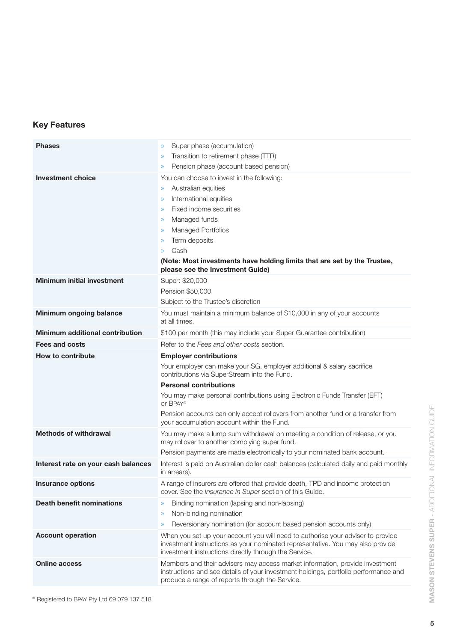## **Key Features**

| <b>Phases</b>                          | Super phase (accumulation)<br>$\mathcal{D}$                                                                                                                                                                                                                                                                                                                                                  |
|----------------------------------------|----------------------------------------------------------------------------------------------------------------------------------------------------------------------------------------------------------------------------------------------------------------------------------------------------------------------------------------------------------------------------------------------|
|                                        | Transition to retirement phase (TTR)<br>$\gg$<br>Pension phase (account based pension)<br>$\gg$                                                                                                                                                                                                                                                                                              |
| <b>Investment choice</b>               | You can choose to invest in the following:<br>Australian equities<br>$\gg$<br>International equities<br>$\gg$<br>Fixed income securities<br>$\mathcal{D}$<br>Managed funds<br>$\gg$<br><b>Managed Portfolios</b><br>$\gg$<br>Term deposits<br>$\gg$<br>Cash<br>$\mathcal{D}$<br>(Note: Most investments have holding limits that are set by the Trustee,<br>please see the Investment Guide) |
| <b>Minimum initial investment</b>      | Super: \$20,000<br>Pension \$50,000<br>Subject to the Trustee's discretion                                                                                                                                                                                                                                                                                                                   |
| Minimum ongoing balance                | You must maintain a minimum balance of \$10,000 in any of your accounts<br>at all times.                                                                                                                                                                                                                                                                                                     |
| <b>Minimum additional contribution</b> | \$100 per month (this may include your Super Guarantee contribution)                                                                                                                                                                                                                                                                                                                         |
| <b>Fees and costs</b>                  | Refer to the Fees and other costs section.                                                                                                                                                                                                                                                                                                                                                   |
| <b>How to contribute</b>               | <b>Employer contributions</b>                                                                                                                                                                                                                                                                                                                                                                |
|                                        | Your employer can make your SG, employer additional & salary sacrifice<br>contributions via SuperStream into the Fund.                                                                                                                                                                                                                                                                       |
|                                        | <b>Personal contributions</b>                                                                                                                                                                                                                                                                                                                                                                |
|                                        | You may make personal contributions using Electronic Funds Transfer (EFT)<br>or BPAY®                                                                                                                                                                                                                                                                                                        |
|                                        | Pension accounts can only accept rollovers from another fund or a transfer from<br>your accumulation account within the Fund.                                                                                                                                                                                                                                                                |
| <b>Methods of withdrawal</b>           | You may make a lump sum withdrawal on meeting a condition of release, or you<br>may rollover to another complying super fund.                                                                                                                                                                                                                                                                |
|                                        | Pension payments are made electronically to your nominated bank account.                                                                                                                                                                                                                                                                                                                     |
| Interest rate on your cash balances    | Interest is paid on Australian dollar cash balances (calculated daily and paid monthly<br>in arrears).                                                                                                                                                                                                                                                                                       |
| <b>Insurance options</b>               | A range of insurers are offered that provide death, TPD and income protection<br>cover. See the Insurance in Super section of this Guide.                                                                                                                                                                                                                                                    |
| <b>Death benefit nominations</b>       | Binding nomination (lapsing and non-lapsing)<br>$\mathcal{Y}$                                                                                                                                                                                                                                                                                                                                |
|                                        | Non-binding nomination<br>$\mathcal{D}$                                                                                                                                                                                                                                                                                                                                                      |
|                                        | Reversionary nomination (for account based pension accounts only)<br>$\rangle\!\rangle$                                                                                                                                                                                                                                                                                                      |
| <b>Account operation</b>               | When you set up your account you will need to authorise your adviser to provide<br>investment instructions as your nominated representative. You may also provide<br>investment instructions directly through the Service.                                                                                                                                                                   |
| <b>Online access</b>                   | Members and their advisers may access market information, provide investment<br>instructions and see details of your investment holdings, portfolio performance and<br>produce a range of reports through the Service.                                                                                                                                                                       |

® Registered to BPAY Pty Ltd 69 079 137 518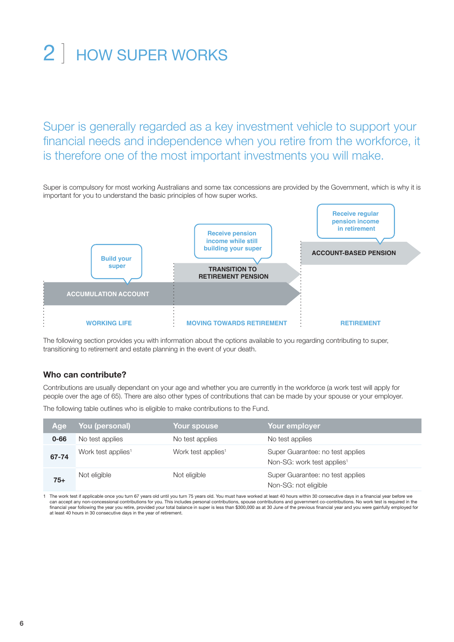# 2 | HOW SUPER WORKS

Super is generally regarded as a key investment vehicle to support your financial needs and independence when you retire from the workforce, it is therefore one of the most important investments you will make.

Super is compulsory for most working Australians and some tax concessions are provided by the Government, which is why it is important for you to understand the basic principles of how super works.



The following section provides you with information about the options available to you regarding contributing to super, transitioning to retirement and estate planning in the event of your death.

## **Who can contribute?**

Contributions are usually dependant on your age and whether you are currently in the workforce (a work test will apply for people over the age of 65). There are also other types of contributions that can be made by your spouse or your employer.

The following table outlines who is eligible to make contributions to the Fund.

| Age      | You (personal)                 | Your spouse                    | Your employer                                                              |
|----------|--------------------------------|--------------------------------|----------------------------------------------------------------------------|
| $0 - 66$ | No test applies                | No test applies                | No test applies                                                            |
| 67-74    | Work test applies <sup>1</sup> | Work test applies <sup>1</sup> | Super Guarantee: no test applies<br>Non-SG: work test applies <sup>1</sup> |
| $75+$    | Not eligible                   | Not eligible                   | Super Guarantee: no test applies<br>Non-SG: not eligible                   |

1 The work test if applicable once you turn 67 years old until you turn 75 years old. You must have worked at least 40 hours within 30 consecutive days in a financial year before we can accept any non-concessional contributions for you. This includes personal contributions, spouse contributions and government co-contributions. No work test is required in the<br>financial year following the year you retir at least 40 hours in 30 consecutive days in the year of retirement.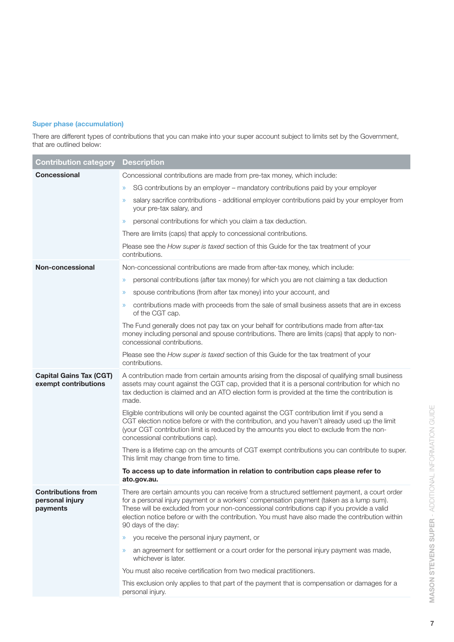## **Super phase (accumulation)**

There are different types of contributions that you can make into your super account subject to limits set by the Government, that are outlined below:

| <b>Contribution category</b>                             | <b>Description</b>                                                                                                                                                                                                                                                                                                                                                                                                |
|----------------------------------------------------------|-------------------------------------------------------------------------------------------------------------------------------------------------------------------------------------------------------------------------------------------------------------------------------------------------------------------------------------------------------------------------------------------------------------------|
| <b>Concessional</b>                                      | Concessional contributions are made from pre-tax money, which include:                                                                                                                                                                                                                                                                                                                                            |
|                                                          | SG contributions by an employer - mandatory contributions paid by your employer<br>$\mathcal{Y}$                                                                                                                                                                                                                                                                                                                  |
|                                                          | salary sacrifice contributions - additional employer contributions paid by your employer from<br>$\mathcal{Y}$<br>your pre-tax salary, and                                                                                                                                                                                                                                                                        |
|                                                          | personal contributions for which you claim a tax deduction.<br>$\mathcal{Y}$                                                                                                                                                                                                                                                                                                                                      |
|                                                          | There are limits (caps) that apply to concessional contributions.                                                                                                                                                                                                                                                                                                                                                 |
|                                                          | Please see the How super is taxed section of this Guide for the tax treatment of your<br>contributions.                                                                                                                                                                                                                                                                                                           |
| Non-concessional                                         | Non-concessional contributions are made from after-tax money, which include:                                                                                                                                                                                                                                                                                                                                      |
|                                                          | personal contributions (after tax money) for which you are not claiming a tax deduction<br>$\mathcal{Y}$                                                                                                                                                                                                                                                                                                          |
|                                                          | spouse contributions (from after tax money) into your account, and<br>$\mathcal{Y}$                                                                                                                                                                                                                                                                                                                               |
|                                                          | contributions made with proceeds from the sale of small business assets that are in excess<br>$\gg$<br>of the CGT cap.                                                                                                                                                                                                                                                                                            |
|                                                          | The Fund generally does not pay tax on your behalf for contributions made from after-tax<br>money including personal and spouse contributions. There are limits (caps) that apply to non-<br>concessional contributions.                                                                                                                                                                                          |
|                                                          | Please see the How super is taxed section of this Guide for the tax treatment of your<br>contributions.                                                                                                                                                                                                                                                                                                           |
| <b>Capital Gains Tax (CGT)</b><br>exempt contributions   | A contribution made from certain amounts arising from the disposal of qualifying small business<br>assets may count against the CGT cap, provided that it is a personal contribution for which no<br>tax deduction is claimed and an ATO election form is provided at the time the contribution is<br>made.                                                                                                       |
|                                                          | Eligible contributions will only be counted against the CGT contribution limit if you send a<br>CGT election notice before or with the contribution, and you haven't already used up the limit<br>(your CGT contribution limit is reduced by the amounts you elect to exclude from the non-<br>concessional contributions cap).                                                                                   |
|                                                          | There is a lifetime cap on the amounts of CGT exempt contributions you can contribute to super.<br>This limit may change from time to time.                                                                                                                                                                                                                                                                       |
|                                                          | To access up to date information in relation to contribution caps please refer to<br>ato.gov.au.                                                                                                                                                                                                                                                                                                                  |
| <b>Contributions from</b><br>personal injury<br>payments | There are certain amounts you can receive from a structured settlement payment, a court order<br>for a personal injury payment or a workers' compensation payment (taken as a lump sum).<br>These will be excluded from your non-concessional contributions cap if you provide a valid<br>election notice before or with the contribution. You must have also made the contribution within<br>90 days of the day: |
|                                                          | you receive the personal injury payment, or<br>$\gg$                                                                                                                                                                                                                                                                                                                                                              |
|                                                          | an agreement for settlement or a court order for the personal injury payment was made,<br>$\mathcal{D}$<br>whichever is later.                                                                                                                                                                                                                                                                                    |
|                                                          | You must also receive certification from two medical practitioners.                                                                                                                                                                                                                                                                                                                                               |
|                                                          | This exclusion only applies to that part of the payment that is compensation or damages for a<br>personal injury.                                                                                                                                                                                                                                                                                                 |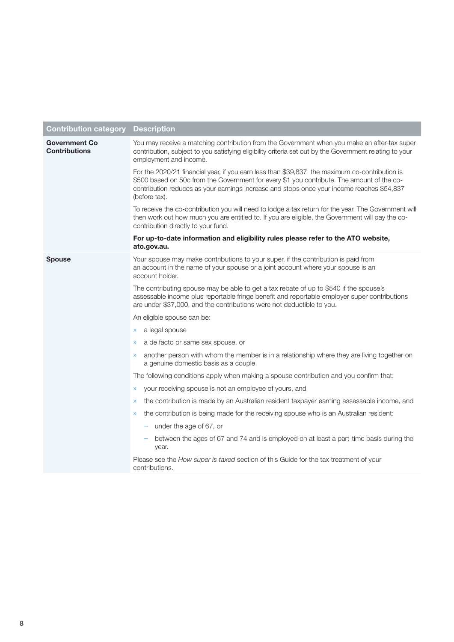| <b>Contribution category</b>                 | <b>Description</b>                                                                                                                                                                                                                                                                                         |
|----------------------------------------------|------------------------------------------------------------------------------------------------------------------------------------------------------------------------------------------------------------------------------------------------------------------------------------------------------------|
| <b>Government Co</b><br><b>Contributions</b> | You may receive a matching contribution from the Government when you make an after-tax super<br>contribution, subject to you satisfying eligibility criteria set out by the Government relating to your<br>employment and income.                                                                          |
|                                              | For the 2020/21 financial year, if you earn less than \$39,837 the maximum co-contribution is<br>\$500 based on 50c from the Government for every \$1 you contribute. The amount of the co-<br>contribution reduces as your earnings increase and stops once your income reaches \$54,837<br>(before tax). |
|                                              | To receive the co-contribution you will need to lodge a tax return for the year. The Government will<br>then work out how much you are entitled to. If you are eligible, the Government will pay the co-<br>contribution directly to your fund.                                                            |
|                                              | For up-to-date information and eligibility rules please refer to the ATO website,<br>ato.gov.au.                                                                                                                                                                                                           |
| <b>Spouse</b>                                | Your spouse may make contributions to your super, if the contribution is paid from<br>an account in the name of your spouse or a joint account where your spouse is an<br>account holder.                                                                                                                  |
|                                              | The contributing spouse may be able to get a tax rebate of up to \$540 if the spouse's<br>assessable income plus reportable fringe benefit and reportable employer super contributions<br>are under \$37,000, and the contributions were not deductible to you.                                            |
|                                              | An eligible spouse can be:                                                                                                                                                                                                                                                                                 |
|                                              | a legal spouse<br>$\gg$                                                                                                                                                                                                                                                                                    |
|                                              | a de facto or same sex spouse, or<br>$\gg$                                                                                                                                                                                                                                                                 |
|                                              | another person with whom the member is in a relationship where they are living together on<br>a genuine domestic basis as a couple.                                                                                                                                                                        |
|                                              | The following conditions apply when making a spouse contribution and you confirm that:                                                                                                                                                                                                                     |
|                                              | your receiving spouse is not an employee of yours, and<br>$\gg$                                                                                                                                                                                                                                            |
|                                              | the contribution is made by an Australian resident taxpayer earning assessable income, and<br>$\gg$                                                                                                                                                                                                        |
|                                              | the contribution is being made for the receiving spouse who is an Australian resident:<br>$\mathcal{D}$                                                                                                                                                                                                    |
|                                              | - under the age of $67$ , or                                                                                                                                                                                                                                                                               |
|                                              | between the ages of 67 and 74 and is employed on at least a part-time basis during the<br>year.                                                                                                                                                                                                            |
|                                              | Please see the How super is taxed section of this Guide for the tax treatment of your<br>contributions.                                                                                                                                                                                                    |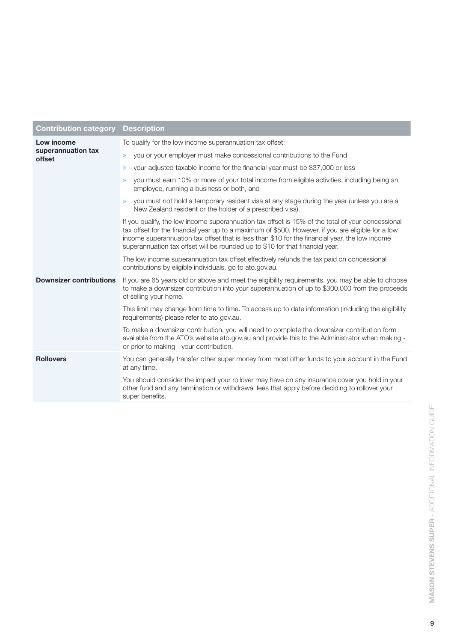| Contribution category                      | <b>Description</b>                                                                                                                                                                                                                                                                                                                                                                         |
|--------------------------------------------|--------------------------------------------------------------------------------------------------------------------------------------------------------------------------------------------------------------------------------------------------------------------------------------------------------------------------------------------------------------------------------------------|
| Low income<br>superannuation tax<br>offset | To qualify for the low income superannuation tax offset:                                                                                                                                                                                                                                                                                                                                   |
|                                            | you or your employer must make concessional contributions to the Fund<br>$\gg$                                                                                                                                                                                                                                                                                                             |
|                                            | your adjusted taxable income for the financial year must be \$37,000 or less<br>$\mathcal{P}$                                                                                                                                                                                                                                                                                              |
|                                            | you must earn 10% or more of your total income from eligible activities, including being an<br>$\mathcal{D}$<br>employee, running a business or both, and                                                                                                                                                                                                                                  |
|                                            | you must not hold a temporary resident visa at any stage during the year (unless you are a<br>$\mathcal{D}$<br>New Zealand resident or the holder of a prescribed visa).                                                                                                                                                                                                                   |
|                                            | If you qualify, the low income superannuation tax offset is 15% of the total of your concessional<br>tax offset for the financial year up to a maximum of \$500. However, if you are eligible for a low<br>income superannuation tax offset that is less than \$10 for the financial year, the low income<br>superannuation tax offset will be rounded up to \$10 for that financial year. |
|                                            | The low income superannuation tax offset effectively refunds the tax paid on concessional<br>contributions by eligible individuals, go to ato.gov.au.                                                                                                                                                                                                                                      |
| <b>Downsizer contributions</b>             | If you are 65 years old or above and meet the eligibility requirements, you may be able to choose<br>to make a downsizer contribution into your superannuation of up to \$300,000 from the proceeds<br>of selling your home.                                                                                                                                                               |
|                                            | This limit may change from time to time. To access up to date information (including the eligibility<br>requirements) please refer to ato.gov.au.                                                                                                                                                                                                                                          |
|                                            | To make a downsizer contribution, you will need to complete the downsizer contribution form<br>available from the ATO's website ato.gov.au and provide this to the Administrator when making -<br>or prior to making - your contribution.                                                                                                                                                  |
| <b>Rollovers</b>                           | You can generally transfer other super money from most other funds to your account in the Fund<br>at any time.                                                                                                                                                                                                                                                                             |
|                                            | You should consider the impact your rollover may have on any insurance cover you hold in your<br>other fund and any termination or withdrawal fees that apply before deciding to rollover your<br>super benefits.                                                                                                                                                                          |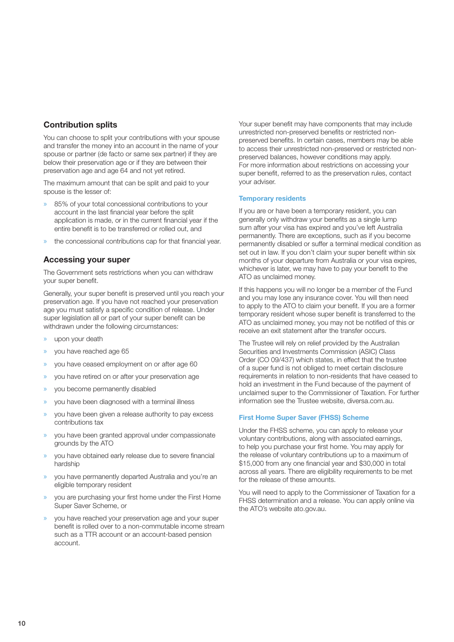## **Contribution splits**

You can choose to split your contributions with your spouse and transfer the money into an account in the name of your spouse or partner (de facto or same sex partner) if they are below their preservation age or if they are between their preservation age and age 64 and not yet retired.

The maximum amount that can be split and paid to your spouse is the lesser of:

- » 85% of your total concessional contributions to your account in the last financial year before the split application is made, or in the current financial year if the entire benefit is to be transferred or rolled out, and
- » the concessional contributions cap for that financial year.

## **Accessing your super**

The Government sets restrictions when you can withdraw your super benefit.

Generally, your super benefit is preserved until you reach your preservation age. If you have not reached your preservation age you must satisfy a specific condition of release. Under super legislation all or part of your super benefit can be withdrawn under the following circumstances:

- » upon your death
- » you have reached age 65
- » you have ceased employment on or after age 60
- » you have retired on or after your preservation age
- » you become permanently disabled
- » you have been diagnosed with a terminal illness
- » you have been given a release authority to pay excess contributions tax
- » you have been granted approval under compassionate grounds by the ATO
- » you have obtained early release due to severe financial hardship
- » you have permanently departed Australia and you're an eligible temporary resident
- » you are purchasing your first home under the First Home Super Saver Scheme, or
- » you have reached your preservation age and your super benefit is rolled over to a non-commutable income stream such as a TTR account or an account-based pension account.

Your super benefit may have components that may include unrestricted non-preserved benefits or restricted nonpreserved benefits. In certain cases, members may be able to access their unrestricted non-preserved or restricted nonpreserved balances, however conditions may apply. For more information about restrictions on accessing your super benefit, referred to as the preservation rules, contact your adviser.

#### **Temporary residents**

If you are or have been a temporary resident, you can generally only withdraw your benefits as a single lump sum after your visa has expired and you've left Australia permanently. There are exceptions, such as if you become permanently disabled or suffer a terminal medical condition as set out in law. If you don't claim your super benefit within six months of your departure from Australia or your visa expires, whichever is later, we may have to pay your benefit to the ATO as unclaimed money.

If this happens you will no longer be a member of the Fund and you may lose any insurance cover. You will then need to apply to the ATO to claim your benefit. If you are a former temporary resident whose super benefit is transferred to the ATO as unclaimed money, you may not be notified of this or receive an exit statement after the transfer occurs.

The Trustee will rely on relief provided by the Australian Securities and Investments Commission (ASIC) Class Order (CO 09/437) which states, in effect that the trustee of a super fund is not obliged to meet certain disclosure requirements in relation to non-residents that have ceased to hold an investment in the Fund because of the payment of unclaimed super to the Commissioner of Taxation. For further information see the Trustee website, diversa.com.au.

### **First Home Super Saver (FHSS) Scheme**

Under the FHSS scheme, you can apply to release your voluntary contributions, along with associated earnings, to help you purchase your first home. You may apply for the release of voluntary contributions up to a maximum of \$15,000 from any one financial year and \$30,000 in total across all years. There are eligibility requirements to be met for the release of these amounts.

You will need to apply to the Commissioner of Taxation for a FHSS determination and a release. You can apply online via the ATO's website ato.gov.au.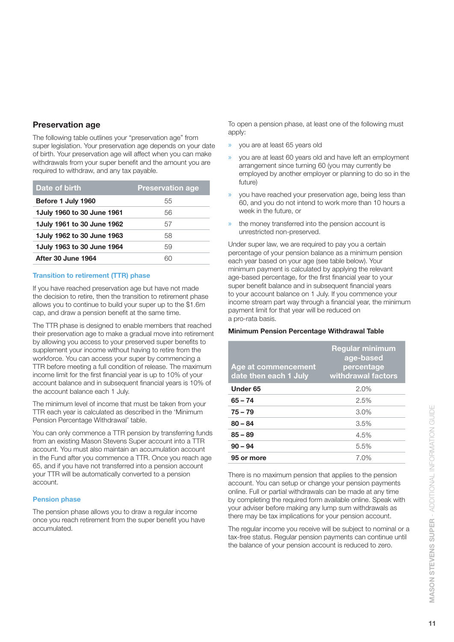## **Preservation age**

The following table outlines your "preservation age" from super legislation. Your preservation age depends on your date of birth. Your preservation age will affect when you can make withdrawals from your super benefit and the amount you are required to withdraw, and any tax payable.

| Date of birth               | <b>Preservation age</b> |
|-----------------------------|-------------------------|
| Before 1 July 1960          | 55                      |
| 1 July 1960 to 30 June 1961 | 56                      |
| 1 July 1961 to 30 June 1962 | 57                      |
| 1 July 1962 to 30 June 1963 | 58                      |
| 1 July 1963 to 30 June 1964 | 59                      |
| <b>After 30 June 1964</b>   | 60                      |
|                             |                         |

## **Transition to retirement (TTR) phase**

If you have reached preservation age but have not made the decision to retire, then the transition to retirement phase allows you to continue to build your super up to the \$1.6m cap, and draw a pension benefit at the same time.

The TTR phase is designed to enable members that reached their preservation age to make a gradual move into retirement by allowing you access to your preserved super benefits to supplement your income without having to retire from the workforce. You can access your super by commencing a TTR before meeting a full condition of release. The maximum income limit for the first financial year is up to 10% of your account balance and in subsequent financial years is 10% of the account balance each 1 July.

The minimum level of income that must be taken from your TTR each year is calculated as described in the 'Minimum Pension Percentage Withdrawal' table.

You can only commence a TTR pension by transferring funds from an existing Mason Stevens Super account into a TTR account. You must also maintain an accumulation account in the Fund after you commence a TTR. Once you reach age 65, and if you have not transferred into a pension account your TTR will be automatically converted to a pension account.

## **Pension phase**

The pension phase allows you to draw a regular income once you reach retirement from the super benefit you have accumulated.

To open a pension phase, at least one of the following must apply:

- » you are at least 65 years old
- » you are at least 60 years old and have left an employment arrangement since turning 60 (you may currently be employed by another employer or planning to do so in the future)
- » you have reached your preservation age, being less than 60, and you do not intend to work more than 10 hours a week in the future, or
- the money transferred into the pension account is unrestricted non-preserved.

Under super law, we are required to pay you a certain percentage of your pension balance as a minimum pension each year based on your age (see table below). Your minimum payment is calculated by applying the relevant age-based percentage, for the first financial year to your super benefit balance and in subsequent financial years to your account balance on 1 July. If you commence your income stream part way through a financial year, the minimum payment limit for that year will be reduced on a pro-rata basis.

#### **Minimum Pension Percentage Withdrawal Table**

| Age at commencement<br>date then each 1 July | <b>Regular minimum</b><br>age-based<br>percentage<br>withdrawal factors |
|----------------------------------------------|-------------------------------------------------------------------------|
| Under <sub>65</sub>                          | 2.0%                                                                    |
| $65 - 74$                                    | 2.5%                                                                    |
| $75 - 79$                                    | 3.0%                                                                    |
| $80 - 84$                                    | 3.5%                                                                    |
| $85 - 89$                                    | 4.5%                                                                    |
| $90 - 94$                                    | 5.5%                                                                    |
| 95 or more                                   | 7.0%                                                                    |

There is no maximum pension that applies to the pension account. You can setup or change your pension payments online. Full or partial withdrawals can be made at any time by completing the required form available online. Speak with your adviser before making any lump sum withdrawals as there may be tax implications for your pension account.

The regular income you receive will be subject to nominal or a tax-free status. Regular pension payments can continue until the balance of your pension account is reduced to zero.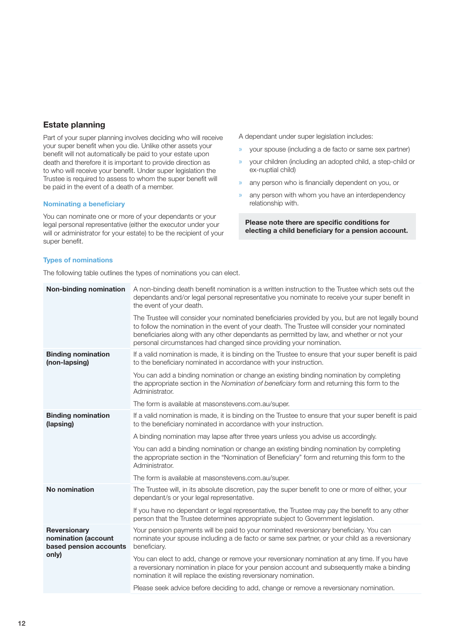## **Estate planning**

Part of your super planning involves deciding who will receive your super benefit when you die. Unlike other assets your benefit will not automatically be paid to your estate upon death and therefore it is important to provide direction as to who will receive your benefit. Under super legislation the Trustee is required to assess to whom the super benefit will be paid in the event of a death of a member.

### **Nominating a beneficiary**

You can nominate one or more of your dependants or your legal personal representative (either the executor under your will or administrator for your estate) to be the recipient of your super benefit.

A dependant under super legislation includes:

- » your spouse (including a de facto or same sex partner)
- » your children (including an adopted child, a step-child or ex-nuptial child)
- » any person who is financially dependent on you, or
- any person with whom you have an interdependency relationship with.

**Please note there are specific conditions for electing a child beneficiary for a pension account.** 

### **Types of nominations**

The following table outlines the types of nominations you can elect.

| <b>Non-binding nomination</b>                                          | A non-binding death benefit nomination is a written instruction to the Trustee which sets out the<br>dependants and/or legal personal representative you nominate to receive your super benefit in<br>the event of your death.                                                                                                                                          |
|------------------------------------------------------------------------|-------------------------------------------------------------------------------------------------------------------------------------------------------------------------------------------------------------------------------------------------------------------------------------------------------------------------------------------------------------------------|
|                                                                        | The Trustee will consider your nominated beneficiaries provided by you, but are not legally bound<br>to follow the nomination in the event of your death. The Trustee will consider your nominated<br>beneficiaries along with any other dependants as permitted by law, and whether or not your<br>personal circumstances had changed since providing your nomination. |
| <b>Binding nomination</b><br>(non-lapsing)                             | If a valid nomination is made, it is binding on the Trustee to ensure that your super benefit is paid<br>to the beneficiary nominated in accordance with your instruction.                                                                                                                                                                                              |
|                                                                        | You can add a binding nomination or change an existing binding nomination by completing<br>the appropriate section in the Nomination of beneficiary form and returning this form to the<br>Administrator.                                                                                                                                                               |
|                                                                        | The form is available at masonstevens.com.au/super.                                                                                                                                                                                                                                                                                                                     |
| <b>Binding nomination</b><br>(lapsing)                                 | If a valid nomination is made, it is binding on the Trustee to ensure that your super benefit is paid<br>to the beneficiary nominated in accordance with your instruction.                                                                                                                                                                                              |
|                                                                        | A binding nomination may lapse after three years unless you advise us accordingly.                                                                                                                                                                                                                                                                                      |
|                                                                        | You can add a binding nomination or change an existing binding nomination by completing<br>the appropriate section in the "Nomination of Beneficiary" form and returning this form to the<br>Administrator.                                                                                                                                                             |
|                                                                        | The form is available at masonstevens.com.au/super.                                                                                                                                                                                                                                                                                                                     |
| No nomination                                                          | The Trustee will, in its absolute discretion, pay the super benefit to one or more of either, your<br>dependant/s or your legal representative.                                                                                                                                                                                                                         |
|                                                                        | If you have no dependant or legal representative, the Trustee may pay the benefit to any other<br>person that the Trustee determines appropriate subject to Government legislation.                                                                                                                                                                                     |
| Reversionary<br>nomination (account<br>based pension accounts<br>only) | Your pension payments will be paid to your nominated reversionary beneficiary. You can<br>nominate your spouse including a de facto or same sex partner, or your child as a reversionary<br>beneficiary.                                                                                                                                                                |
|                                                                        | You can elect to add, change or remove your reversionary nomination at any time. If you have<br>a reversionary nomination in place for your pension account and subsequently make a binding<br>nomination it will replace the existing reversionary nomination.                                                                                                         |
|                                                                        | Please seek advice before deciding to add, change or remove a reversionary nomination.                                                                                                                                                                                                                                                                                  |
|                                                                        |                                                                                                                                                                                                                                                                                                                                                                         |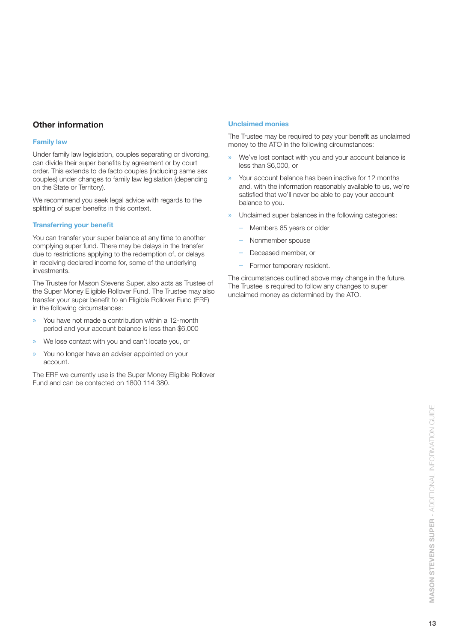## **Other information**

## **Family law**

Under family law legislation, couples separating or divorcing, can divide their super benefits by agreement or by court order. This extends to de facto couples (including same sex couples) under changes to family law legislation (depending on the State or Territory).

We recommend you seek legal advice with regards to the splitting of super benefits in this context.

## **Transferring your benefit**

You can transfer your super balance at any time to another complying super fund. There may be delays in the transfer due to restrictions applying to the redemption of, or delays in receiving declared income for, some of the underlying investments.

The Trustee for Mason Stevens Super, also acts as Trustee of the Super Money Eligible Rollover Fund. The Trustee may also transfer your super benefit to an Eligible Rollover Fund (ERF) in the following circumstances:

- » You have not made a contribution within a 12-month period and your account balance is less than \$6,000
- » We lose contact with you and can't locate you, or
- » You no longer have an adviser appointed on your account.

The ERF we currently use is the Super Money Eligible Rollover Fund and can be contacted on 1800 114 380.

## **Unclaimed monies**

The Trustee may be required to pay your benefit as unclaimed money to the ATO in the following circumstances:

- » We've lost contact with you and your account balance is less than \$6,000, or
- » Your account balance has been inactive for 12 months and, with the information reasonably available to us, we're satisfied that we'll never be able to pay your account balance to you.
- » Unclaimed super balances in the following categories:
	- Members 65 years or older
	- Nonmember spouse
	- Deceased member, or
	- Former temporary resident.

The circumstances outlined above may change in the future. The Trustee is required to follow any changes to super unclaimed money as determined by the ATO.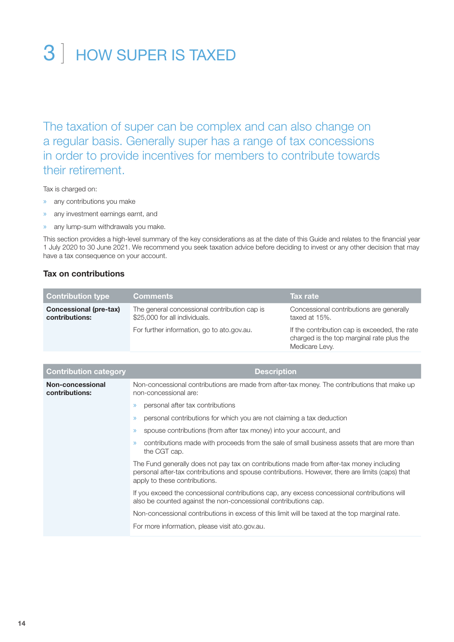## 3 ] HOW SUPER IS TAXED

The taxation of super can be complex and can also change on a regular basis. Generally super has a range of tax concessions in order to provide incentives for members to contribute towards their retirement.

Tax is charged on:

- » any contributions you make
- » any investment earnings earnt, and
- » any lump-sum withdrawals you make.

This section provides a high-level summary of the key considerations as at the date of this Guide and relates to the financial year 1 July 2020 to 30 June 2021. We recommend you seek taxation advice before deciding to invest or any other decision that may have a tax consequence on your account.

## **Tax on contributions**

| <b>Contribution type</b>                        | <b>Comments</b>                                                               | Tax rate                                                                                                     |
|-------------------------------------------------|-------------------------------------------------------------------------------|--------------------------------------------------------------------------------------------------------------|
| <b>Concessional (pre-tax)</b><br>contributions: | The general concessional contribution cap is<br>\$25,000 for all individuals. | Concessional contributions are generally<br>taxed at 15%.                                                    |
|                                                 | For further information, go to ato.gov.au.                                    | If the contribution cap is exceeded, the rate<br>charged is the top marginal rate plus the<br>Medicare Levy. |

| <b>Contribution category</b>       | <b>Description</b>                                                                                                                                                                                                            |
|------------------------------------|-------------------------------------------------------------------------------------------------------------------------------------------------------------------------------------------------------------------------------|
| Non-concessional<br>contributions: | Non-concessional contributions are made from after-tax money. The contributions that make up<br>non-concessional are:                                                                                                         |
|                                    | personal after tax contributions                                                                                                                                                                                              |
|                                    | personal contributions for which you are not claiming a tax deduction<br>$\gg$                                                                                                                                                |
|                                    | spouse contributions (from after tax money) into your account, and<br>$\mathcal{P}$                                                                                                                                           |
|                                    | contributions made with proceeds from the sale of small business assets that are more than<br>$\gg$<br>the CGT cap.                                                                                                           |
|                                    | The Fund generally does not pay tax on contributions made from after-tax money including<br>personal after-tax contributions and spouse contributions. However, there are limits (caps) that<br>apply to these contributions. |
|                                    | If you exceed the concessional contributions cap, any excess concessional contributions will<br>also be counted against the non-concessional contributions cap.                                                               |
|                                    | Non-concessional contributions in excess of this limit will be taxed at the top marginal rate.                                                                                                                                |
|                                    | For more information, please visit ato.gov.au.                                                                                                                                                                                |
|                                    |                                                                                                                                                                                                                               |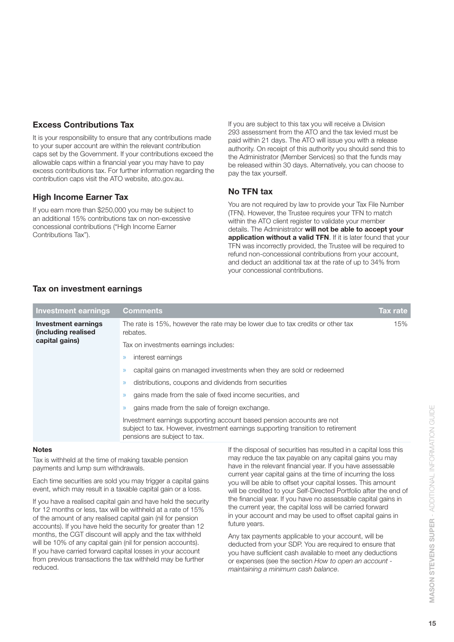## **Excess Contributions Tax**

It is your responsibility to ensure that any contributions made to your super account are within the relevant contribution caps set by the Government. If your contributions exceed the allowable caps within a financial year you may have to pay excess contributions tax. For further information regarding the contribution caps visit the ATO website, ato.gov.au.

## **High Income Earner Tax**

If you earn more than \$250,000 you may be subject to an additional 15% contributions tax on non-excessive concessional contributions ("High Income Earner Contributions Tax").

If you are subject to this tax you will receive a Division 293 assessment from the ATO and the tax levied must be paid within 21 days. The ATO will issue you with a release authority. On receipt of this authority you should send this to the Administrator (Member Services) so that the funds may be released within 30 days. Alternatively, you can choose to pay the tax yourself.

## **No TFN tax**

You are not required by law to provide your Tax File Number (TFN). However, the Trustee requires your TFN to match within the ATO client register to validate your member details. The Administrator **will not be able to accept your application without a valid TFN**. If it is later found that your TFN was incorrectly provided, the Trustee will be required to refund non-concessional contributions from your account, and deduct an additional tax at the rate of up to 34% from your concessional contributions.

## **Tax on investment earnings**

| <b>Investment earnings</b>                                          | <b>Comments</b>                                                                                                                                                                           | Tax rate, |
|---------------------------------------------------------------------|-------------------------------------------------------------------------------------------------------------------------------------------------------------------------------------------|-----------|
| <b>Investment earnings</b><br>(including realised<br>capital gains) | The rate is 15%, however the rate may be lower due to tax credits or other tax<br>rebates.                                                                                                | 15%       |
|                                                                     | Tax on investments earnings includes:                                                                                                                                                     |           |
|                                                                     | interest earnings                                                                                                                                                                         |           |
|                                                                     | capital gains on managed investments when they are sold or redeemed                                                                                                                       |           |
|                                                                     | distributions, coupons and dividends from securities<br>$\gg$                                                                                                                             |           |
|                                                                     | gains made from the sale of fixed income securities, and                                                                                                                                  |           |
|                                                                     | gains made from the sale of foreign exchange.                                                                                                                                             |           |
|                                                                     | Investment earnings supporting account based pension accounts are not<br>subject to tax. However, investment earnings supporting transition to retirement<br>pensions are subject to tax. |           |

## **Notes**

Tax is withheld at the time of making taxable pension payments and lump sum withdrawals.

Each time securities are sold you may trigger a capital gains event, which may result in a taxable capital gain or a loss.

If you have a realised capital gain and have held the security for 12 months or less, tax will be withheld at a rate of 15% of the amount of any realised capital gain (nil for pension accounts). If you have held the security for greater than 12 months, the CGT discount will apply and the tax withheld will be 10% of any capital gain (nil for pension accounts). If you have carried forward capital losses in your account from previous transactions the tax withheld may be further reduced.

If the disposal of securities has resulted in a capital loss this may reduce the tax payable on any capital gains you may have in the relevant financial year. If you have assessable current year capital gains at the time of incurring the loss you will be able to offset your capital losses. This amount will be credited to your Self-Directed Portfolio after the end of the financial year. If you have no assessable capital gains in the current year, the capital loss will be carried forward in your account and may be used to offset capital gains in future years.

Any tax payments applicable to your account, will be deducted from your SDP. You are required to ensure that you have sufficient cash available to meet any deductions or expenses (see the section *How to open an account maintaining a minimum cash balance*.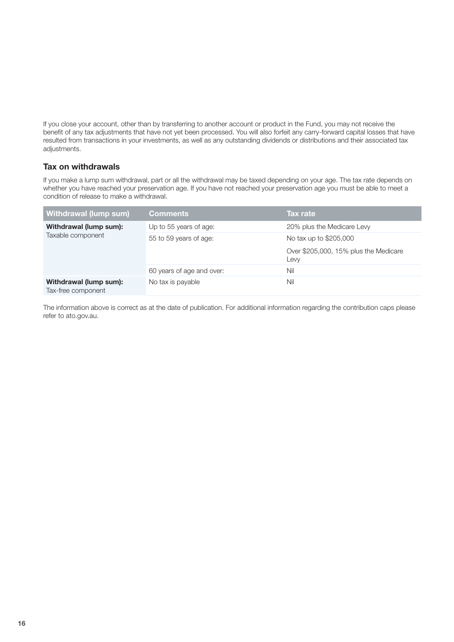If you close your account, other than by transferring to another account or product in the Fund, you may not receive the benefit of any tax adjustments that have not yet been processed. You will also forfeit any carry-forward capital losses that have resulted from transactions in your investments, as well as any outstanding dividends or distributions and their associated tax adjustments.

## **Tax on withdrawals**

If you make a lump sum withdrawal, part or all the withdrawal may be taxed depending on your age. The tax rate depends on whether you have reached your preservation age. If you have not reached your preservation age you must be able to meet a condition of release to make a withdrawal.

| Withdrawal (lump sum)                        | <b>Comments</b>           | <b>Tax rate</b>                               |
|----------------------------------------------|---------------------------|-----------------------------------------------|
| Withdrawal (lump sum):<br>Taxable component  | Up to 55 years of age:    | 20% plus the Medicare Levy                    |
|                                              | 55 to 59 years of age:    | No tax up to \$205,000                        |
|                                              |                           | Over \$205,000, 15% plus the Medicare<br>Levy |
|                                              | 60 years of age and over: | Nil                                           |
| Withdrawal (lump sum):<br>Tax-free component | No tax is payable         | Nil                                           |

The information above is correct as at the date of publication. For additional information regarding the contribution caps please refer to ato.gov.au.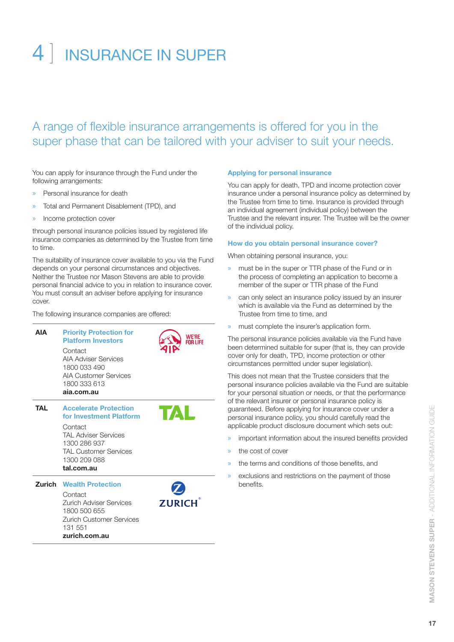## 4 | INSURANCE IN SUPER

## A range of flexible insurance arrangements is offered for you in the super phase that can be tailored with your adviser to suit your needs.

You can apply for insurance through the Fund under the following arrangements:

- » Personal insurance for death
- » Total and Permanent Disablement (TPD), and
- » Income protection cover

through personal insurance policies issued by registered life insurance companies as determined by the Trustee from time to time.

The suitability of insurance cover available to you via the Fund depends on your personal circumstances and objectives. Neither the Trustee nor Mason Stevens are able to provide personal financial advice to you in relation to insurance cover. You must consult an adviser before applying for insurance cover.

The following insurance companies are offered:



**zurich.com.au**

## **Applying for personal insurance**

You can apply for death, TPD and income protection cover insurance under a personal insurance policy as determined by the Trustee from time to time. Insurance is provided through an individual agreement (individual policy) between the Trustee and the relevant insurer. The Trustee will be the owner of the individual policy.

## **How do you obtain personal insurance cover?**

When obtaining personal insurance, you:

- must be in the super or TTR phase of the Fund or in the process of completing an application to become a member of the super or TTR phase of the Fund
- » can only select an insurance policy issued by an insurer which is available via the Fund as determined by the Trustee from time to time, and
- must complete the insurer's application form.

The personal insurance policies available via the Fund have been determined suitable for super (that is, they can provide cover only for death, TPD, income protection or other circumstances permitted under super legislation).

This does not mean that the Trustee considers that the personal insurance policies available via the Fund are suitable for your personal situation or needs, or that the performance of the relevant insurer or personal insurance policy is guaranteed. Before applying for insurance cover under a personal insurance policy, you should carefully read the applicable product disclosure document which sets out:

- important information about the insured benefits provided
- the cost of cover
- the terms and conditions of those benefits, and
- exclusions and restrictions on the payment of those benefits.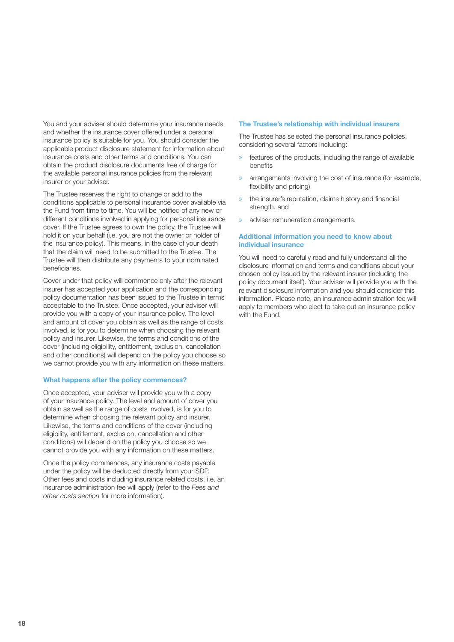You and your adviser should determine your insurance needs and whether the insurance cover offered under a personal insurance policy is suitable for you. You should consider the applicable product disclosure statement for information about insurance costs and other terms and conditions. You can obtain the product disclosure documents free of charge for the available personal insurance policies from the relevant insurer or your adviser.

The Trustee reserves the right to change or add to the conditions applicable to personal insurance cover available via the Fund from time to time. You will be notified of any new or different conditions involved in applying for personal insurance cover. If the Trustee agrees to own the policy, the Trustee will hold it on your behalf (i.e. you are not the owner or holder of the insurance policy). This means, in the case of your death that the claim will need to be submitted to the Trustee. The Trustee will then distribute any payments to your nominated beneficiaries.

Cover under that policy will commence only after the relevant insurer has accepted your application and the corresponding policy documentation has been issued to the Trustee in terms acceptable to the Trustee. Once accepted, your adviser will provide you with a copy of your insurance policy. The level and amount of cover you obtain as well as the range of costs involved, is for you to determine when choosing the relevant policy and insurer. Likewise, the terms and conditions of the cover (including eligibility, entitlement, exclusion, cancellation and other conditions) will depend on the policy you choose so we cannot provide you with any information on these matters.

#### **What happens after the policy commences?**

Once accepted, your adviser will provide you with a copy of your insurance policy. The level and amount of cover you obtain as well as the range of costs involved, is for you to determine when choosing the relevant policy and insurer. Likewise, the terms and conditions of the cover (including eligibility, entitlement, exclusion, cancellation and other conditions) will depend on the policy you choose so we cannot provide you with any information on these matters.

Once the policy commences, any insurance costs payable under the policy will be deducted directly from your SDP. Other fees and costs including insurance related costs, i.e. an insurance administration fee will apply (refer to the *Fees and other costs section* for more information).

#### **The Trustee's relationship with individual insurers**

The Trustee has selected the personal insurance policies, considering several factors including:

- » features of the products, including the range of available benefits
- arrangements involving the cost of insurance (for example, flexibility and pricing)
- the insurer's reputation, claims history and financial strength, and
- adviser remuneration arrangements.

## **Additional information you need to know about individual insurance**

You will need to carefully read and fully understand all the disclosure information and terms and conditions about your chosen policy issued by the relevant insurer (including the policy document itself). Your adviser will provide you with the relevant disclosure information and you should consider this information. Please note, an insurance administration fee will apply to members who elect to take out an insurance policy with the Fund.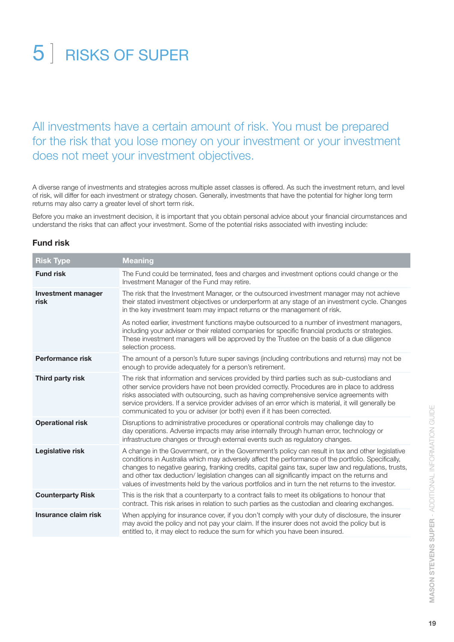## 5 ] RISKS OF SUPER

## All investments have a certain amount of risk. You must be prepared for the risk that you lose money on your investment or your investment does not meet your investment objectives.

A diverse range of investments and strategies across multiple asset classes is offered. As such the investment return, and level of risk, will differ for each investment or strategy chosen. Generally, investments that have the potential for higher long term returns may also carry a greater level of short term risk.

Before you make an investment decision, it is important that you obtain personal advice about your financial circumstances and understand the risks that can affect your investment. Some of the potential risks associated with investing include:

## **Fund risk**

| <b>Risk Type</b>                  | <b>Meaning</b>                                                                                                                                                                                                                                                                                                                                                                                                                                                                                                       |
|-----------------------------------|----------------------------------------------------------------------------------------------------------------------------------------------------------------------------------------------------------------------------------------------------------------------------------------------------------------------------------------------------------------------------------------------------------------------------------------------------------------------------------------------------------------------|
| <b>Fund risk</b>                  | The Fund could be terminated, fees and charges and investment options could change or the<br>Investment Manager of the Fund may retire.                                                                                                                                                                                                                                                                                                                                                                              |
| <b>Investment manager</b><br>risk | The risk that the Investment Manager, or the outsourced investment manager may not achieve<br>their stated investment objectives or underperform at any stage of an investment cycle. Changes<br>in the key investment team may impact returns or the management of risk.                                                                                                                                                                                                                                            |
|                                   | As noted earlier, investment functions maybe outsourced to a number of investment managers,<br>including your adviser or their related companies for specific financial products or strategies.<br>These investment managers will be approved by the Trustee on the basis of a due diligence<br>selection process.                                                                                                                                                                                                   |
| <b>Performance risk</b>           | The amount of a person's future super savings (including contributions and returns) may not be<br>enough to provide adequately for a person's retirement.                                                                                                                                                                                                                                                                                                                                                            |
| Third party risk                  | The risk that information and services provided by third parties such as sub-custodians and<br>other service providers have not been provided correctly. Procedures are in place to address<br>risks associated with outsourcing, such as having comprehensive service agreements with<br>service providers. If a service provider advises of an error which is material, it will generally be<br>communicated to you or adviser (or both) even if it has been corrected.                                            |
| <b>Operational risk</b>           | Disruptions to administrative procedures or operational controls may challenge day to<br>day operations. Adverse impacts may arise internally through human error, technology or<br>infrastructure changes or through external events such as regulatory changes.                                                                                                                                                                                                                                                    |
| <b>Legislative risk</b>           | A change in the Government, or in the Government's policy can result in tax and other legislative<br>conditions in Australia which may adversely affect the performance of the portfolio. Specifically,<br>changes to negative gearing, franking credits, capital gains tax, super law and regulations, trusts,<br>and other tax deduction/ legislation changes can all significantly impact on the returns and<br>values of investments held by the various portfolios and in turn the net returns to the investor. |
| <b>Counterparty Risk</b>          | This is the risk that a counterparty to a contract fails to meet its obligations to honour that<br>contract. This risk arises in relation to such parties as the custodian and clearing exchanges.                                                                                                                                                                                                                                                                                                                   |
| Insurance claim risk              | When applying for insurance cover, if you don't comply with your duty of disclosure, the insurer<br>may avoid the policy and not pay your claim. If the insurer does not avoid the policy but is<br>entitled to, it may elect to reduce the sum for which you have been insured.                                                                                                                                                                                                                                     |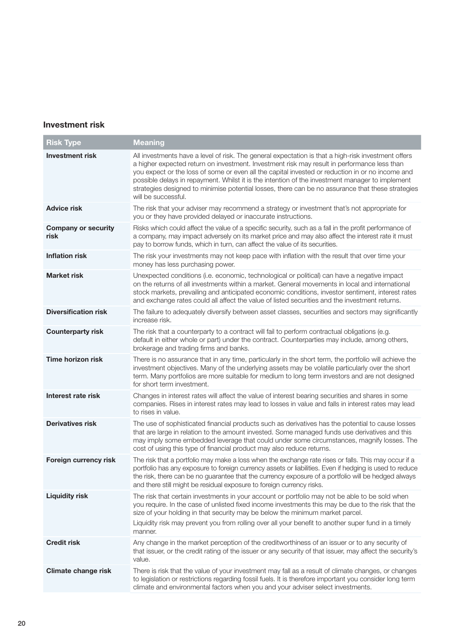## **Investment risk**

**Contract Contract** 

| <b>Risk Type</b>                   | <b>Meaning</b>                                                                                                                                                                                                                                                                                                                                                                                                                                                                                                                        |
|------------------------------------|---------------------------------------------------------------------------------------------------------------------------------------------------------------------------------------------------------------------------------------------------------------------------------------------------------------------------------------------------------------------------------------------------------------------------------------------------------------------------------------------------------------------------------------|
| <b>Investment risk</b>             | All investments have a level of risk. The general expectation is that a high-risk investment offers<br>a higher expected return on investment. Investment risk may result in performance less than<br>you expect or the loss of some or even all the capital invested or reduction in or no income and<br>possible delays in repayment. Whilst it is the intention of the investment manager to implement<br>strategies designed to minimise potential losses, there can be no assurance that these strategies<br>will be successful. |
| <b>Advice risk</b>                 | The risk that your adviser may recommend a strategy or investment that's not appropriate for<br>you or they have provided delayed or inaccurate instructions.                                                                                                                                                                                                                                                                                                                                                                         |
| <b>Company or security</b><br>risk | Risks which could affect the value of a specific security, such as a fall in the profit performance of<br>a company, may impact adversely on its market price and may also affect the interest rate it must<br>pay to borrow funds, which in turn, can affect the value of its securities.                                                                                                                                                                                                                                            |
| <b>Inflation risk</b>              | The risk your investments may not keep pace with inflation with the result that over time your<br>money has less purchasing power.                                                                                                                                                                                                                                                                                                                                                                                                    |
| <b>Market risk</b>                 | Unexpected conditions (i.e. economic, technological or political) can have a negative impact<br>on the returns of all investments within a market. General movements in local and international<br>stock markets, prevailing and anticipated economic conditions, investor sentiment, interest rates<br>and exchange rates could all affect the value of listed securities and the investment returns.                                                                                                                                |
| <b>Diversification risk</b>        | The failure to adequately diversify between asset classes, securities and sectors may significantly<br>increase risk.                                                                                                                                                                                                                                                                                                                                                                                                                 |
| <b>Counterparty risk</b>           | The risk that a counterparty to a contract will fail to perform contractual obligations (e.g.<br>default in either whole or part) under the contract. Counterparties may include, among others,<br>brokerage and trading firms and banks.                                                                                                                                                                                                                                                                                             |
| <b>Time horizon risk</b>           | There is no assurance that in any time, particularly in the short term, the portfolio will achieve the<br>investment objectives. Many of the underlying assets may be volatile particularly over the short<br>term. Many portfolios are more suitable for medium to long term investors and are not designed<br>for short term investment.                                                                                                                                                                                            |
| Interest rate risk                 | Changes in interest rates will affect the value of interest bearing securities and shares in some<br>companies. Rises in interest rates may lead to losses in value and falls in interest rates may lead<br>to rises in value.                                                                                                                                                                                                                                                                                                        |
| <b>Derivatives risk</b>            | The use of sophisticated financial products such as derivatives has the potential to cause losses<br>that are large in relation to the amount invested. Some managed funds use derivatives and this<br>may imply some embedded leverage that could under some circumstances, magnify losses. The<br>cost of using this type of financial product may also reduce returns.                                                                                                                                                             |
| Foreign currency risk              | The risk that a portfolio may make a loss when the exchange rate rises or falls. This may occur if a<br>portfolio has any exposure to foreign currency assets or liabilities. Even if hedging is used to reduce<br>the risk, there can be no guarantee that the currency exposure of a portfolio will be hedged always<br>and there still might be residual exposure to foreign currency risks.                                                                                                                                       |
| <b>Liquidity risk</b>              | The risk that certain investments in your account or portfolio may not be able to be sold when<br>you require. In the case of unlisted fixed income investments this may be due to the risk that the<br>size of your holding in that security may be below the minimum market parcel.<br>Liquidity risk may prevent you from rolling over all your benefit to another super fund in a timely<br>manner.                                                                                                                               |
| <b>Credit risk</b>                 | Any change in the market perception of the creditworthiness of an issuer or to any security of<br>that issuer, or the credit rating of the issuer or any security of that issuer, may affect the security's<br>value.                                                                                                                                                                                                                                                                                                                 |
| <b>Climate change risk</b>         | There is risk that the value of your investment may fall as a result of climate changes, or changes<br>to legislation or restrictions regarding fossil fuels. It is therefore important you consider long term<br>climate and environmental factors when you and your adviser select investments.                                                                                                                                                                                                                                     |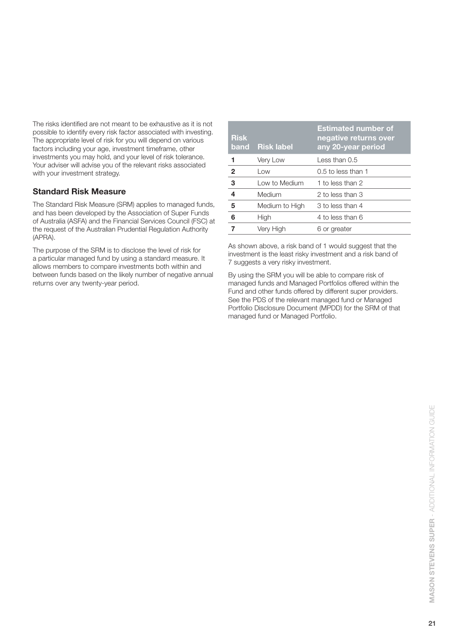The risks identified are not meant to be exhaustive as it is not possible to identify every risk factor associated with investing. The appropriate level of risk for you will depend on various factors including your age, investment timeframe, other investments you may hold, and your level of risk tolerance. Your adviser will advise you of the relevant risks associated with your investment strategy.

## **Standard Risk Measure**

The Standard Risk Measure (SRM) applies to managed funds, and has been developed by the Association of Super Funds of Australia (ASFA) and the Financial Services Council (FSC) at the request of the Australian Prudential Regulation Authority (APRA).

The purpose of the SRM is to disclose the level of risk for a particular managed fund by using a standard measure. It allows members to compare investments both within and between funds based on the likely number of negative annual returns over any twenty-year period.

| <b>Risk</b>  | band Risk label | <b>Estimated number of</b><br>negative returns over<br>any 20-year period |
|--------------|-----------------|---------------------------------------------------------------------------|
| 1            | Very Low        | Less than $0.5$                                                           |
| $\mathbf{2}$ | Low             | $0.5$ to less than 1                                                      |
| 3            | Low to Medium   | 1 to less than 2                                                          |
| 4            | Medium          | 2 to less than 3                                                          |
| 5            | Medium to High  | 3 to less than 4                                                          |
| 6            | High            | 4 to less than 6                                                          |
| 7            | Very High       | 6 or greater                                                              |

As shown above, a risk band of 1 would suggest that the investment is the least risky investment and a risk band of 7 suggests a very risky investment.

By using the SRM you will be able to compare risk of managed funds and Managed Portfolios offered within the Fund and other funds offered by different super providers. See the PDS of the relevant managed fund or Managed Portfolio Disclosure Document (MPDD) for the SRM of that managed fund or Managed Portfolio.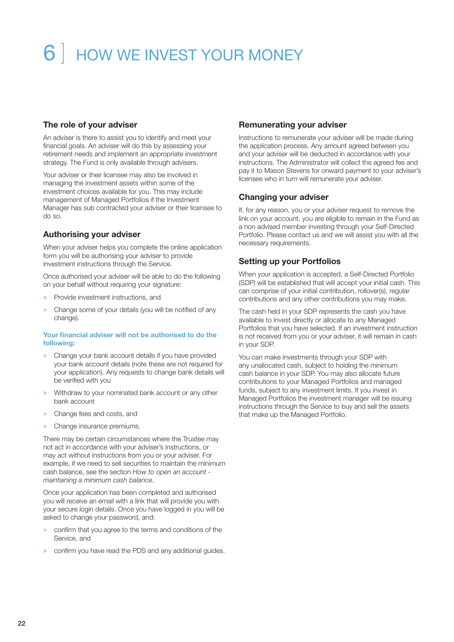# 6 ] HOW WE INVEST YOUR MONEY

## **The role of your adviser**

An adviser is there to assist you to identify and meet your financial goals. An adviser will do this by assessing your retirement needs and implement an appropriate investment strategy. The Fund is only available through advisers.

Your adviser or their licensee may also be involved in managing the investment assets within some of the investment choices available for you. This may include management of Managed Portfolios if the Investment Manager has sub contracted your adviser or their licensee to do so.

## **Authorising your adviser**

When your adviser helps you complete the online application form you will be authorising your adviser to provide investment instructions through the Service.

Once authorised your adviser will be able to do the following on your behalf without requiring your signature:

- » Provide investment instructions, and
- » Change some of your details (you will be notified of any change).

## **Your financial adviser will not be authorised to do the following:**

- » Change your bank account details if you have provided your bank account details (note these are not required for your application). Any requests to change bank details will be verified with you
- » Withdraw to your nominated bank account or any other bank account
- » Change fees and costs, and
- » Change insurance premiums.

There may be certain circumstances where the Trustee may not act in accordance with your adviser's instructions, or may act without instructions from you or your adviser. For example, if we need to sell securities to maintain the minimum cash balance, see the section *How to open an account maintaining a minimum cash balance*.

Once your application has been completed and authorised you will receive an email with a link that will provide you with your secure login details. Once you have logged in you will be asked to change your password, and:

- » confirm that you agree to the terms and conditions of the Service, and
- » confirm you have read the PDS and any additional guides.

## **Remunerating your adviser**

Instructions to remunerate your adviser will be made during the application process. Any amount agreed between you and your adviser will be deducted in accordance with your instructions. The Administrator will collect the agreed fee and pay it to Mason Stevens for onward payment to your adviser's licensee who in turn will remunerate your adviser.

## **Changing your adviser**

If, for any reason, you or your adviser request to remove the link on your account, you are eligible to remain in the Fund as a non advised member investing through your Self-Directed Portfolio. Please contact us and we will assist you with all the necessary requirements.

## **Setting up your Portfolios**

When your application is accepted, a Self-Directed Portfolio (SDP) will be established that will accept your initial cash. This can comprise of your initial contribution, rollover(s), regular contributions and any other contributions you may make.

The cash held in your SDP represents the cash you have available to invest directly or allocate to any Managed Portfolios that you have selected. If an investment instruction is not received from you or your adviser, it will remain in cash in your SDP.

You can make investments through your SDP with any unallocated cash, subject to holding the minimum cash balance in your SDP. You may also allocate future contributions to your Managed Portfolios and managed funds, subject to any investment limits. If you invest in Managed Portfolios the investment manager will be issuing instructions through the Service to buy and sell the assets that make up the Managed Portfolio.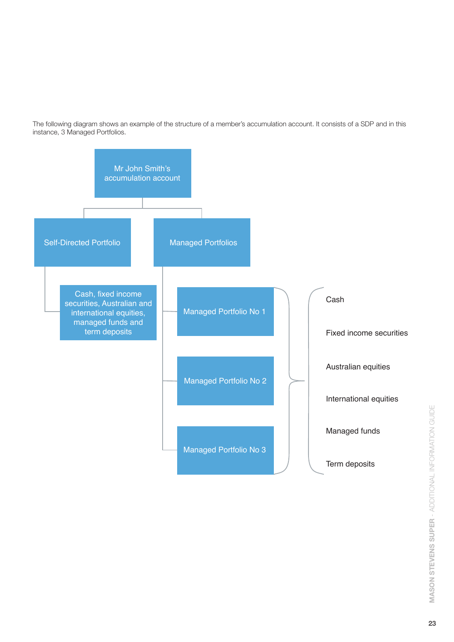The following diagram shows an example of the structure of a member's accumulation account. It consists of a SDP and in this instance, 3 Managed Portfolios.

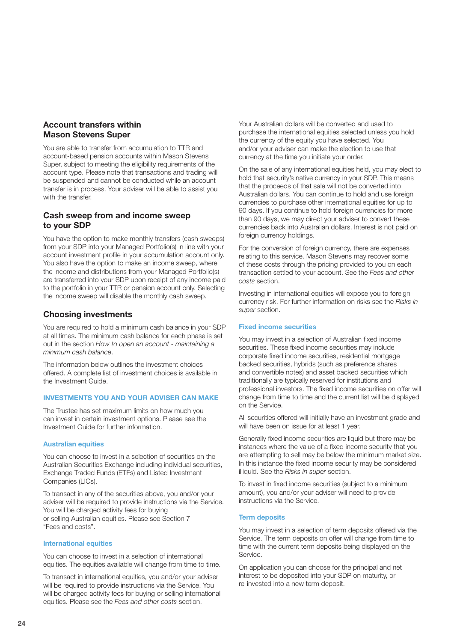## **Account transfers within Mason Stevens Super**

You are able to transfer from accumulation to TTR and account-based pension accounts within Mason Stevens Super, subject to meeting the eligibility requirements of the account type. Please note that transactions and trading will be suspended and cannot be conducted while an account transfer is in process. Your adviser will be able to assist you with the transfer.

## **Cash sweep from and income sweep to your SDP**

You have the option to make monthly transfers (cash sweeps) from your SDP into your Managed Portfolio(s) in line with your account investment profile in your accumulation account only. You also have the option to make an income sweep, where the income and distributions from your Managed Portfolio(s) are transferred into your SDP upon receipt of any income paid to the portfolio in your TTR or pension account only. Selecting the income sweep will disable the monthly cash sweep.

## **Choosing investments**

You are required to hold a minimum cash balance in your SDP at all times. The minimum cash balance for each phase is set out in the section *How to open an account - maintaining a minimum cash balance*.

The information below outlines the investment choices offered. A complete list of investment choices is available in the Investment Guide.

## **INVESTMENTS YOU AND YOUR ADVISER CAN MAKE**

The Trustee has set maximum limits on how much you can invest in certain investment options. Please see the Investment Guide for further information.

### **Australian equities**

You can choose to invest in a selection of securities on the Australian Securities Exchange including individual securities, Exchange Traded Funds (ETFs) and Listed Investment Companies (LICs).

To transact in any of the securities above, you and/or your adviser will be required to provide instructions via the Service. You will be charged activity fees for buying or selling Australian equities. Please see Section 7 "Fees and costs".

#### **International equities**

You can choose to invest in a selection of international equities. The equities available will change from time to time.

To transact in international equities, you and/or your adviser will be required to provide instructions via the Service. You will be charged activity fees for buying or selling international equities. Please see the *Fees and other costs* section.

Your Australian dollars will be converted and used to purchase the international equities selected unless you hold the currency of the equity you have selected. You and/or your adviser can make the election to use that currency at the time you initiate your order.

On the sale of any international equities held, you may elect to hold that security's native currency in your SDP. This means that the proceeds of that sale will not be converted into Australian dollars. You can continue to hold and use foreign currencies to purchase other international equities for up to 90 days. If you continue to hold foreign currencies for more than 90 days, we may direct your adviser to convert these currencies back into Australian dollars. Interest is not paid on foreign currency holdings.

For the conversion of foreign currency, there are expenses relating to this service. Mason Stevens may recover some of these costs through the pricing provided to you on each transaction settled to your account. See the *Fees and other costs* section.

Investing in international equities will expose you to foreign currency risk. For further information on risks see the *Risks in super* section.

## **Fixed income securities**

You may invest in a selection of Australian fixed income securities. These fixed income securities may include corporate fixed income securities, residential mortgage backed securities, hybrids (such as preference shares and convertible notes) and asset backed securities which traditionally are typically reserved for institutions and professional investors. The fixed income securities on offer will change from time to time and the current list will be displayed on the Service.

All securities offered will initially have an investment grade and will have been on issue for at least 1 year.

Generally fixed income securities are liquid but there may be instances where the value of a fixed income security that you are attempting to sell may be below the minimum market size. In this instance the fixed income security may be considered illiquid. See the *Risks in super* section.

To invest in fixed income securities (subject to a minimum amount), you and/or your adviser will need to provide instructions via the Service.

## **Term deposits**

You may invest in a selection of term deposits offered via the Service. The term deposits on offer will change from time to time with the current term deposits being displayed on the Service.

On application you can choose for the principal and net interest to be deposited into your SDP on maturity, or re-invested into a new term deposit.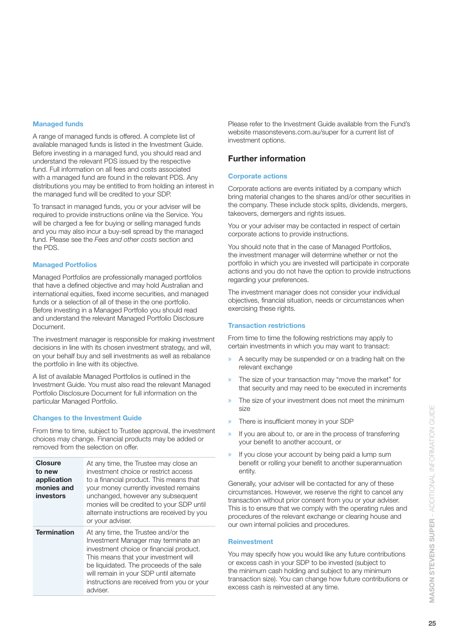## **Managed funds**

A range of managed funds is offered. A complete list of available managed funds is listed in the Investment Guide. Before investing in a managed fund, you should read and understand the relevant PDS issued by the respective fund. Full information on all fees and costs associated with a managed fund are found in the relevant PDS. Any distributions you may be entitled to from holding an interest in the managed fund will be credited to your SDP.

To transact in managed funds, you or your adviser will be required to provide instructions online via the Service. You will be charged a fee for buying or selling managed funds and you may also incur a buy-sell spread by the managed fund. Please see the *Fees and other costs* section and the PDS.

## **Managed Portfolios**

Managed Portfolios are professionally managed portfolios that have a defined objective and may hold Australian and international equities, fixed income securities, and managed funds or a selection of all of these in the one portfolio. Before investing in a Managed Portfolio you should read and understand the relevant Managed Portfolio Disclosure Document.

The investment manager is responsible for making investment decisions in line with its chosen investment strategy, and will, on your behalf buy and sell investments as well as rebalance the portfolio in line with its objective.

A list of available Managed Portfolios is outlined in the Investment Guide. You must also read the relevant Managed Portfolio Disclosure Document for full information on the particular Managed Portfolio.

## **Changes to the Investment Guide**

From time to time, subject to Trustee approval, the investment choices may change. Financial products may be added or removed from the selection on offer.

| <b>Closure</b><br>to new<br>application<br>monies and<br>investors | At any time, the Trustee may close an<br>investment choice or restrict access<br>to a financial product. This means that<br>your money currently invested remains<br>unchanged, however any subsequent<br>monies will be credited to your SDP until<br>alternate instructions are received by you<br>or your adviser. |  |
|--------------------------------------------------------------------|-----------------------------------------------------------------------------------------------------------------------------------------------------------------------------------------------------------------------------------------------------------------------------------------------------------------------|--|
| <b>Termination</b>                                                 | At any time, the Trustee and/or the<br>Investment Manager may terminate an<br>investment choice or financial product.<br>This means that your investment will<br>be liquidated. The proceeds of the sale<br>will remain in your SDP until alternate<br>instructions are received from you or your<br>adviser.         |  |

Please refer to the Investment Guide available from the Fund's website masonstevens.com.au/super for a current list of investment options.

## **Further information**

## **Corporate actions**

Corporate actions are events initiated by a company which bring material changes to the shares and/or other securities in the company. These include stock splits, dividends, mergers, takeovers, demergers and rights issues.

You or your adviser may be contacted in respect of certain corporate actions to provide instructions.

You should note that in the case of Managed Portfolios, the investment manager will determine whether or not the portfolio in which you are invested will participate in corporate actions and you do not have the option to provide instructions regarding your preferences.

The investment manager does not consider your individual objectives, financial situation, needs or circumstances when exercising these rights.

## **Transaction restrictions**

From time to time the following restrictions may apply to certain investments in which you may want to transact:

- » A security may be suspended or on a trading halt on the relevant exchange
- » The size of your transaction may "move the market" for that security and may need to be executed in increments
- The size of your investment does not meet the minimum size
- There is insufficient money in your SDP
- If you are about to, or are in the process of transferring your benefit to another account, or
- If you close your account by being paid a lump sum benefit or rolling your benefit to another superannuation entity.

Generally, your adviser will be contacted for any of these circumstances. However, we reserve the right to cancel any transaction without prior consent from you or your adviser. This is to ensure that we comply with the operating rules and procedures of the relevant exchange or clearing house and our own internal policies and procedures.

## **Reinvestment**

You may specify how you would like any future contributions or excess cash in your SDP to be invested (subject to the minimum cash holding and subject to any minimum transaction size). You can change how future contributions or excess cash is reinvested at any time.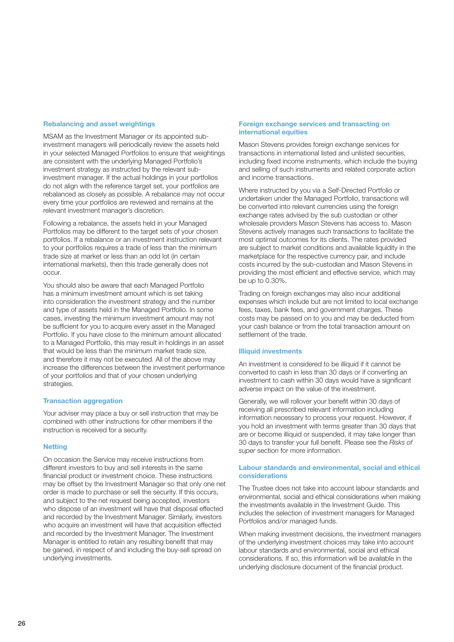## **Rebalancing and asset weightings**

MSAM as the Investment Manager or its appointed subinvestment managers will periodically review the assets held in your selected Managed Portfolios to ensure that weightings are consistent with the underlying Managed Portfolio's investment strategy as instructed by the relevant subinvestment manager. If the actual holdings in your portfolios do not align with the reference target set, your portfolios are rebalanced as closely as possible. A rebalance may not occur every time your portfolios are reviewed and remains at the relevant investment manager's discretion.

Following a rebalance, the assets held in your Managed Portfolios may be different to the target sets of your chosen portfolios. If a rebalance or an investment instruction relevant to your portfolios requires a trade of less than the minimum trade size at market or less than an odd lot (in certain international markets), then this trade generally does not occur.

You should also be aware that each Managed Portfolio has a minimum investment amount which is set taking into consideration the investment strategy and the number and type of assets held in the Managed Portfolio. In some cases, investing the minimum investment amount may not be sufficient for you to acquire every asset in the Managed Portfolio. If you have close to the minimum amount allocated to a Managed Portfolio, this may result in holdings in an asset that would be less than the minimum market trade size, and therefore it may not be executed. All of the above may increase the differences between the investment performance of your portfolios and that of your chosen underlying strategies.

## **Transaction aggregation**

Your adviser may place a buy or sell instruction that may be combined with other instructions for other members if the instruction is received for a security.

## **Netting**

On occasion the Service may receive instructions from different investors to buy and sell interests in the same financial product or investment choice. These instructions may be offset by the Investment Manager so that only one net order is made to purchase or sell the security. If this occurs, and subject to the net request being accepted, investors who dispose of an investment will have that disposal effected and recorded by the Investment Manager. Similarly, investors who acquire an investment will have that acquisition effected and recorded by the Investment Manager. The Investment Manager is entitled to retain any resulting benefit that may be gained, in respect of and including the buy-sell spread on underlying investments.

## **Foreign exchange services and transacting on international equities**

Mason Stevens provides foreign exchange services for transactions in international listed and unlisted securities, including fixed income instruments, which include the buying and selling of such instruments and related corporate action and income transactions.

Where instructed by you via a Self-Directed Portfolio or undertaken under the Managed Portfolio, transactions will be converted into relevant currencies using the foreign exchange rates advised by the sub custodian or other wholesale providers Mason Stevens has access to. Mason Stevens actively manages such transactions to facilitate the most optimal outcomes for its clients. The rates provided are subject to market conditions and available liquidity in the marketplace for the respective currency pair, and include costs incurred by the sub-custodian and Mason Stevens in providing the most efficient and effective service, which may be up to 0.30%.

Trading on foreign exchanges may also incur additional expenses which include but are not limited to local exchange fees, taxes, bank fees, and government charges. These costs may be passed on to you and may be deducted from your cash balance or from the total transaction amount on settlement of the trade.

#### **Illiquid investments**

An investment is considered to be illiquid if it cannot be converted to cash in less than 30 days or if converting an investment to cash within 30 days would have a significant adverse impact on the value of the investment.

Generally, we will rollover your benefit within 30 days of receiving all prescribed relevant information including information necessary to process your request. However, if you hold an investment with terms greater than 30 days that are or become illiquid or suspended, it may take longer than 30 days to transfer your full benefit. Please see the *Risks of super* section for more information.

## **Labour standards and environmental, social and ethical considerations**

The Trustee does not take into account labour standards and environmental, social and ethical considerations when making the investments available in the Investment Guide. This includes the selection of investment managers for Managed Portfolios and/or managed funds.

When making investment decisions, the investment managers of the underlying investment choices may take into account labour standards and environmental, social and ethical considerations. If so, this information will be available in the underlying disclosure document of the financial product.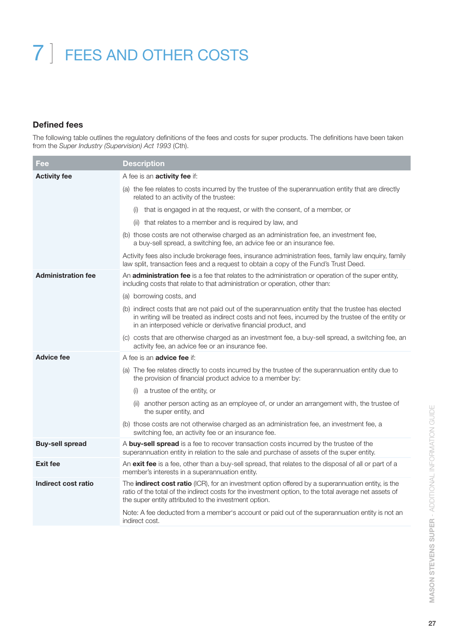## **Defined fees**

The following table outlines the regulatory definitions of the fees and costs for super products. The definitions have been taken from the *Super Industry (Supervision) Act 1993* (Cth).

| Fee                       | <b>Description</b>                                                                                                                                                                                                                                                           |
|---------------------------|------------------------------------------------------------------------------------------------------------------------------------------------------------------------------------------------------------------------------------------------------------------------------|
| <b>Activity fee</b>       | A fee is an <b>activity fee</b> if:                                                                                                                                                                                                                                          |
|                           | (a) the fee relates to costs incurred by the trustee of the superannuation entity that are directly<br>related to an activity of the trustee:                                                                                                                                |
|                           | that is engaged in at the request, or with the consent, of a member, or                                                                                                                                                                                                      |
|                           | (ii) that relates to a member and is required by law, and                                                                                                                                                                                                                    |
|                           | (b) those costs are not otherwise charged as an administration fee, an investment fee,<br>a buy-sell spread, a switching fee, an advice fee or an insurance fee.                                                                                                             |
|                           | Activity fees also include brokerage fees, insurance administration fees, family law enquiry, family<br>law split, transaction fees and a request to obtain a copy of the Fund's Trust Deed.                                                                                 |
| <b>Administration fee</b> | An <b>administration fee</b> is a fee that relates to the administration or operation of the super entity,<br>including costs that relate to that administration or operation, other than:                                                                                   |
|                           | (a) borrowing costs, and                                                                                                                                                                                                                                                     |
|                           | (b) indirect costs that are not paid out of the superannuation entity that the trustee has elected<br>in writing will be treated as indirect costs and not fees, incurred by the trustee of the entity or<br>in an interposed vehicle or derivative financial product, and   |
|                           | (c) costs that are otherwise charged as an investment fee, a buy-sell spread, a switching fee, an<br>activity fee, an advice fee or an insurance fee.                                                                                                                        |
| <b>Advice fee</b>         | A fee is an <b>advice fee</b> if:                                                                                                                                                                                                                                            |
|                           | (a) The fee relates directly to costs incurred by the trustee of the superannuation entity due to<br>the provision of financial product advice to a member by:                                                                                                               |
|                           | a trustee of the entity, or<br>(i)                                                                                                                                                                                                                                           |
|                           | another person acting as an employee of, or under an arrangement with, the trustee of<br>(ii)<br>the super entity, and                                                                                                                                                       |
|                           | (b) those costs are not otherwise charged as an administration fee, an investment fee, a<br>switching fee, an activity fee or an insurance fee.                                                                                                                              |
| <b>Buy-sell spread</b>    | A buy-sell spread is a fee to recover transaction costs incurred by the trustee of the<br>superannuation entity in relation to the sale and purchase of assets of the super entity.                                                                                          |
| <b>Exit fee</b>           | An exit fee is a fee, other than a buy-sell spread, that relates to the disposal of all or part of a<br>member's interests in a superannuation entity.                                                                                                                       |
| Indirect cost ratio       | The <b>indirect cost ratio</b> (ICR), for an investment option offered by a superannuation entity, is the<br>ratio of the total of the indirect costs for the investment option, to the total average net assets of<br>the super entity attributed to the investment option. |
|                           | Note: A fee deducted from a member's account or paid out of the superannuation entity is not an<br>indirect cost.                                                                                                                                                            |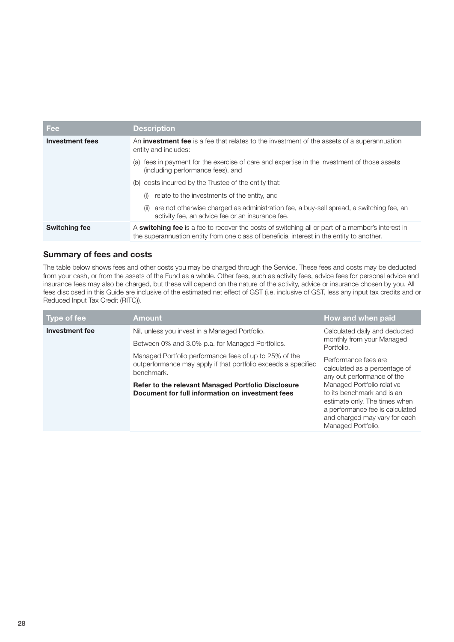| Fee                    | <b>Description</b>                                                                                                                                                                                   |
|------------------------|------------------------------------------------------------------------------------------------------------------------------------------------------------------------------------------------------|
| <b>Investment fees</b> | An <b>investment fee</b> is a fee that relates to the investment of the assets of a superannuation<br>entity and includes:                                                                           |
|                        | fees in payment for the exercise of care and expertise in the investment of those assets<br>(a)<br>(including performance fees), and                                                                 |
|                        | costs incurred by the Trustee of the entity that:<br>(b)                                                                                                                                             |
|                        | relate to the investments of the entity, and<br>(i)                                                                                                                                                  |
|                        | are not otherwise charged as administration fee, a buy-sell spread, a switching fee, an<br>(ii)<br>activity fee, an advice fee or an insurance fee.                                                  |
| <b>Switching fee</b>   | A <b>switching fee</b> is a fee to recover the costs of switching all or part of a member's interest in<br>the superannuation entity from one class of beneficial interest in the entity to another. |

## **Summary of fees and costs**

The table below shows fees and other costs you may be charged through the Service. These fees and costs may be deducted from your cash, or from the assets of the Fund as a whole. Other fees, such as activity fees, advice fees for personal advice and insurance fees may also be charged, but these will depend on the nature of the activity, advice or insurance chosen by you. All fees disclosed in this Guide are inclusive of the estimated net effect of GST (i.e. inclusive of GST, less any input tax credits and or Reduced Input Tax Credit (RITC)).

| Type of fee    | <b>Amount</b>                                                                                                                          | How and when paid                                                                                                                                                                   |
|----------------|----------------------------------------------------------------------------------------------------------------------------------------|-------------------------------------------------------------------------------------------------------------------------------------------------------------------------------------|
| Investment fee | Nil, unless you invest in a Managed Portfolio.<br>Between 0% and 3.0% p.a. for Managed Portfolios.                                     | Calculated daily and deducted<br>monthly from your Managed<br>Portfolio.                                                                                                            |
|                | Managed Portfolio performance fees of up to 25% of the<br>outperformance may apply if that portfolio exceeds a specified<br>benchmark. | Performance fees are<br>calculated as a percentage of<br>any out performance of the                                                                                                 |
|                | Refer to the relevant Managed Portfolio Disclosure<br>Document for full information on investment fees                                 | Managed Portfolio relative<br>to its benchmark and is an<br>estimate only. The times when<br>a performance fee is calculated<br>and charged may vary for each<br>Managed Portfolio. |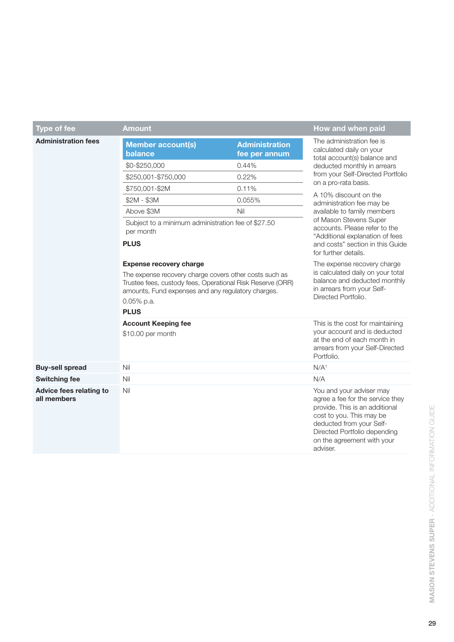| <b>Type of fee</b>                            | <b>Amount</b>                                                                                                                                                                                                                             |                           | How and when paid                                                                                                                                                                                                                |  |
|-----------------------------------------------|-------------------------------------------------------------------------------------------------------------------------------------------------------------------------------------------------------------------------------------------|---------------------------|----------------------------------------------------------------------------------------------------------------------------------------------------------------------------------------------------------------------------------|--|
| <b>Administration fees</b>                    |                                                                                                                                                                                                                                           | The administration fee is |                                                                                                                                                                                                                                  |  |
|                                               | <b>Member account(s)</b><br>balance                                                                                                                                                                                                       | <b>Administration</b>     | calculated daily on your<br>total account(s) balance and<br>deducted monthly in arrears<br>from your Self-Directed Portfolio<br>on a pro-rata basis.                                                                             |  |
|                                               |                                                                                                                                                                                                                                           | fee per annum             |                                                                                                                                                                                                                                  |  |
|                                               | \$0-\$250,000                                                                                                                                                                                                                             | 0.44%<br>0.22%            |                                                                                                                                                                                                                                  |  |
|                                               | \$250,001-\$750,000                                                                                                                                                                                                                       |                           |                                                                                                                                                                                                                                  |  |
|                                               | \$750,001-\$2M                                                                                                                                                                                                                            | 0.11%                     | A 10% discount on the                                                                                                                                                                                                            |  |
|                                               | $$2M - $3M$                                                                                                                                                                                                                               | 0.055%                    | administration fee may be                                                                                                                                                                                                        |  |
|                                               | Above \$3M                                                                                                                                                                                                                                | Nil                       | available to family members<br>of Mason Stevens Super                                                                                                                                                                            |  |
|                                               | Subject to a minimum administration fee of \$27.50<br>per month                                                                                                                                                                           |                           | accounts. Please refer to the<br>"Additional explanation of fees                                                                                                                                                                 |  |
|                                               | <b>PLUS</b>                                                                                                                                                                                                                               |                           | and costs" section in this Guide<br>for further details.                                                                                                                                                                         |  |
|                                               | <b>Expense recovery charge</b><br>The expense recovery charge covers other costs such as<br>Trustee fees, custody fees, Operational Risk Reserve (ORR)<br>amounts, Fund expenses and any regulatory charges.<br>0.05% p.a.<br><b>PLUS</b> |                           | The expense recovery charge<br>is calculated daily on your total<br>balance and deducted monthly<br>in arrears from your Self-<br>Directed Portfolio.                                                                            |  |
|                                               | <b>Account Keeping fee</b><br>\$10.00 per month                                                                                                                                                                                           |                           | This is the cost for maintaining<br>your account and is deducted<br>at the end of each month in<br>arrears from your Self-Directed<br>Portfolio.                                                                                 |  |
| <b>Buy-sell spread</b>                        | Nil                                                                                                                                                                                                                                       |                           | N/A <sup>1</sup>                                                                                                                                                                                                                 |  |
| <b>Switching fee</b>                          | Nil                                                                                                                                                                                                                                       |                           | N/A                                                                                                                                                                                                                              |  |
| <b>Advice fees relating to</b><br>all members | Nil                                                                                                                                                                                                                                       |                           | You and your adviser may<br>agree a fee for the service they<br>provide. This is an additional<br>cost to you. This may be<br>deducted from your Self-<br>Directed Portfolio depending<br>on the agreement with your<br>adviser. |  |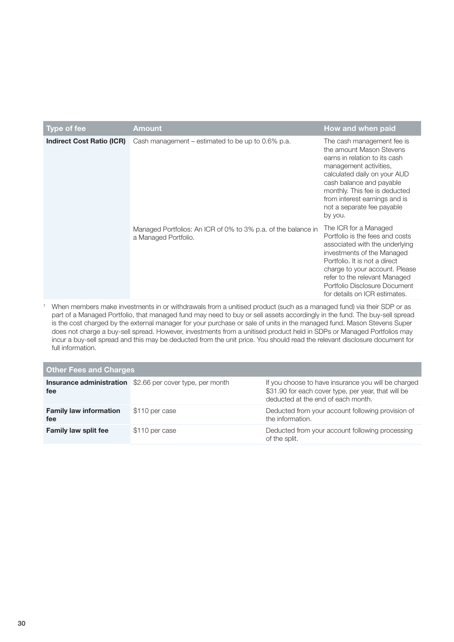| Type of fee                      | Amount                                                                                | How and when paid                                                                                                                                                                                                                                                                              |
|----------------------------------|---------------------------------------------------------------------------------------|------------------------------------------------------------------------------------------------------------------------------------------------------------------------------------------------------------------------------------------------------------------------------------------------|
| <b>Indirect Cost Ratio (ICR)</b> | Cash management – estimated to be up to $0.6\%$ p.a.                                  | The cash management fee is<br>the amount Mason Stevens<br>earns in relation to its cash<br>management activities,<br>calculated daily on your AUD<br>cash balance and payable<br>monthly. This fee is deducted<br>from interest earnings and is<br>not a separate fee payable<br>by you.       |
|                                  | Managed Portfolios: An ICR of 0% to 3% p.a. of the balance in<br>a Managed Portfolio. | The ICR for a Managed<br>Portfolio is the fees and costs<br>associated with the underlying<br>investments of the Managed<br>Portfolio. It is not a direct<br>charge to your account. Please<br>refer to the relevant Managed<br>Portfolio Disclosure Document<br>for details on ICR estimates. |

<sup>1</sup> When members make investments in or withdrawals from a unitised product (such as a managed fund) via their SDP or as part of a Managed Portfolio, that managed fund may need to buy or sell assets accordingly in the fund. The buy-sell spread is the cost charged by the external manager for your purchase or sale of units in the managed fund. Mason Stevens Super does not charge a buy-sell spread. However, investments from a unitised product held in SDPs or Managed Portfolios may incur a buy-sell spread and this may be deducted from the unit price. You should read the relevant disclosure document for full information.

| <b>Other Fees and Charges</b>        |                                                                  |                                                                                                                                                  |  |
|--------------------------------------|------------------------------------------------------------------|--------------------------------------------------------------------------------------------------------------------------------------------------|--|
| fee                                  | <b>Insurance administration</b> \$2.66 per cover type, per month | If you choose to have insurance you will be charged<br>\$31.90 for each cover type, per year, that will be<br>deducted at the end of each month. |  |
| <b>Family law information</b><br>fee | \$110 per case                                                   | Deducted from your account following provision of<br>the information.                                                                            |  |
| <b>Family law split fee</b>          | \$110 per case                                                   | Deducted from your account following processing<br>of the split.                                                                                 |  |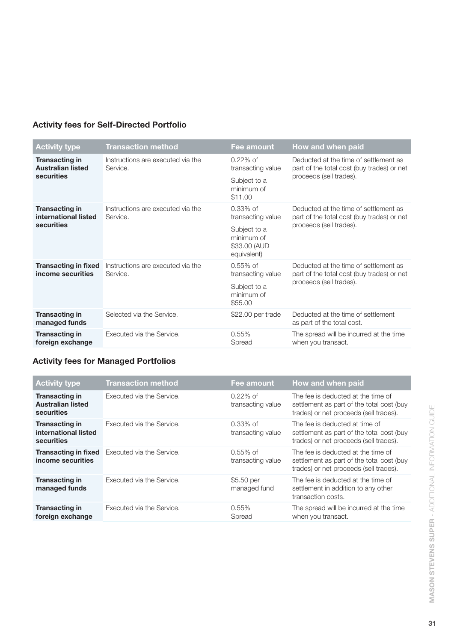## **Activity fees for Self-Directed Portfolio**

| <b>Activity type</b>                                            | <b>Transaction method</b>                     | Fee amount                                                | How and when paid                                                                                              |
|-----------------------------------------------------------------|-----------------------------------------------|-----------------------------------------------------------|----------------------------------------------------------------------------------------------------------------|
| <b>Transacting in</b><br><b>Australian listed</b><br>securities | Instructions are executed via the<br>Service. | $0.22\%$ of<br>transacting value                          | Deducted at the time of settlement as<br>part of the total cost (buy trades) or net<br>proceeds (sell trades). |
|                                                                 |                                               | Subject to a<br>minimum of<br>\$11.00                     |                                                                                                                |
| <b>Transacting in</b><br>international listed                   | Instructions are executed via the<br>Service. | $0.33\%$ of<br>transacting value                          | Deducted at the time of settlement as<br>part of the total cost (buy trades) or net                            |
| securities                                                      |                                               | Subject to a<br>minimum of<br>\$33.00 (AUD<br>equivalent) | proceeds (sell trades).                                                                                        |
| <b>Transacting in fixed</b><br>income securities                | Instructions are executed via the<br>Service. | $0.55\%$ of<br>transacting value                          | Deducted at the time of settlement as<br>part of the total cost (buy trades) or net                            |
|                                                                 |                                               | Subject to a<br>minimum of<br>\$55.00                     | proceeds (sell trades).                                                                                        |
| <b>Transacting in</b><br>managed funds                          | Selected via the Service.                     | \$22.00 per trade                                         | Deducted at the time of settlement<br>as part of the total cost.                                               |
| <b>Transacting in</b><br>foreign exchange                       | Executed via the Service.                     | 0.55%<br>Spread                                           | The spread will be incurred at the time<br>when you transact.                                                  |

## **Activity fees for Managed Portfolios**

| <b>Activity type</b>                                               | <b>Transaction method</b>                             | Fee amount                       | How and when paid                                                                                                         |
|--------------------------------------------------------------------|-------------------------------------------------------|----------------------------------|---------------------------------------------------------------------------------------------------------------------------|
| <b>Transacting in</b><br><b>Australian listed</b><br>securities    | Executed via the Service.                             | $0.22\%$ of<br>transacting value | The fee is deducted at the time of<br>settlement as part of the total cost (buy<br>trades) or net proceeds (sell trades). |
| <b>Transacting in</b><br>international listed<br><b>securities</b> | Executed via the Service.                             | $0.33\%$ of<br>transacting value | The fee is deducted at time of<br>settlement as part of the total cost (buy<br>trades) or net proceeds (sell trades).     |
| income securities                                                  | <b>Transacting in fixed</b> Executed via the Service. | $0.55\%$ of<br>transacting value | The fee is deducted at the time of<br>settlement as part of the total cost (buy<br>trades) or net proceeds (sell trades). |
| <b>Transacting in</b><br>managed funds                             | Executed via the Service.                             | \$5.50 per<br>managed fund       | The fee is deducted at the time of<br>settlement in addition to any other<br>transaction costs.                           |
| <b>Transacting in</b><br>foreign exchange                          | Executed via the Service.                             | $0.55\%$<br>Spread               | The spread will be incurred at the time<br>when you transact.                                                             |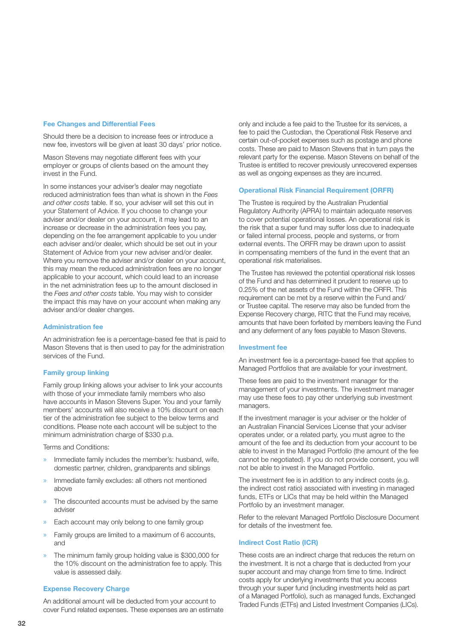#### **Fee Changes and Differential Fees**

Should there be a decision to increase fees or introduce a new fee, investors will be given at least 30 days' prior notice.

Mason Stevens may negotiate different fees with your employer or groups of clients based on the amount they invest in the Fund.

In some instances your adviser's dealer may negotiate reduced administration fees than what is shown in the *Fees and other costs* table. If so, your adviser will set this out in your Statement of Advice. If you choose to change your adviser and/or dealer on your account, it may lead to an increase or decrease in the administration fees you pay, depending on the fee arrangement applicable to you under each adviser and/or dealer, which should be set out in your Statement of Advice from your new adviser and/or dealer. Where you remove the adviser and/or dealer on your account, this may mean the reduced administration fees are no longer applicable to your account, which could lead to an increase in the net administration fees up to the amount disclosed in the *Fees and other costs* table. You may wish to consider the impact this may have on your account when making any adviser and/or dealer changes.

#### **Administration fee**

An administration fee is a percentage-based fee that is paid to Mason Stevens that is then used to pay for the administration services of the Fund.

## **Family group linking**

Family group linking allows your adviser to link your accounts with those of your immediate family members who also have accounts in Mason Stevens Super. You and your family members' accounts will also receive a 10% discount on each tier of the administration fee subject to the below terms and conditions. Please note each account will be subject to the minimum administration charge of \$330 p.a.

Terms and Conditions:

- » Immediate family includes the member's: husband, wife, domestic partner, children, grandparents and siblings
- » Immediate family excludes: all others not mentioned above
- The discounted accounts must be advised by the same adviser
- » Each account may only belong to one family group
- » Family groups are limited to a maximum of 6 accounts, and
- » The minimum family group holding value is \$300,000 for the 10% discount on the administration fee to apply. This value is assessed daily.

## **Expense Recovery Charge**

An additional amount will be deducted from your account to cover Fund related expenses. These expenses are an estimate

only and include a fee paid to the Trustee for its services, a fee to paid the Custodian, the Operational Risk Reserve and certain out-of-pocket expenses such as postage and phone costs. These are paid to Mason Stevens that in turn pays the relevant party for the expense. Mason Stevens on behalf of the Trustee is entitled to recover previously unrecovered expenses as well as ongoing expenses as they are incurred.

#### **Operational Risk Financial Requirement (ORFR)**

The Trustee is required by the Australian Prudential Regulatory Authority (APRA) to maintain adequate reserves to cover potential operational losses. An operational risk is the risk that a super fund may suffer loss due to inadequate or failed internal process, people and systems, or from external events. The ORFR may be drawn upon to assist in compensating members of the fund in the event that an operational risk materialises.

The Trustee has reviewed the potential operational risk losses of the Fund and has determined it prudent to reserve up to 0.25% of the net assets of the Fund within the ORFR. This requirement can be met by a reserve within the Fund and/ or Trustee capital. The reserve may also be funded from the Expense Recovery charge, RITC that the Fund may receive, amounts that have been forfeited by members leaving the Fund and any deferment of any fees payable to Mason Stevens.

## **Investment fee**

An investment fee is a percentage-based fee that applies to Managed Portfolios that are available for your investment.

These fees are paid to the investment manager for the management of your investments. The investment manager may use these fees to pay other underlying sub investment managers.

If the investment manager is your adviser or the holder of an Australian Financial Services License that your adviser operates under, or a related party, you must agree to the amount of the fee and its deduction from your account to be able to invest in the Managed Portfolio (the amount of the fee cannot be negotiated). If you do not provide consent, you will not be able to invest in the Managed Portfolio.

The investment fee is in addition to any indirect costs (e.g. the indirect cost ratio) associated with investing in managed funds, ETFs or LICs that may be held within the Managed Portfolio by an investment manager.

Refer to the relevant Managed Portfolio Disclosure Document for details of the investment fee.

#### **Indirect Cost Ratio (ICR)**

These costs are an indirect charge that reduces the return on the investment. It is not a charge that is deducted from your super account and may change from time to time. Indirect costs apply for underlying investments that you access through your super fund (including investments held as part of a Managed Portfolio), such as managed funds, Exchanged Traded Funds (ETFs) and Listed Investment Companies (LICs).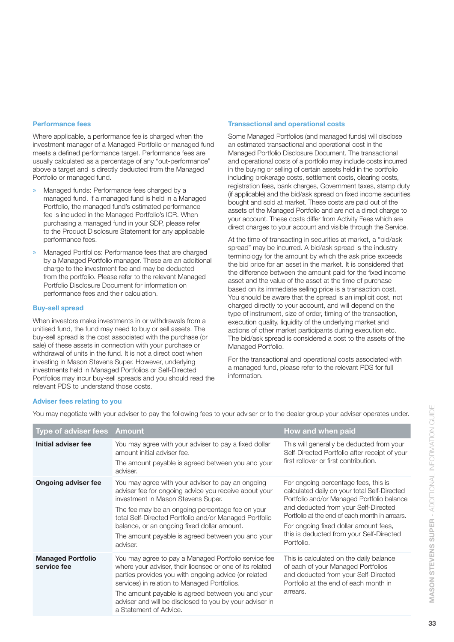#### **Performance fees**

Where applicable, a performance fee is charged when the investment manager of a Managed Portfolio or managed fund meets a defined performance target. Performance fees are usually calculated as a percentage of any "out-performance" above a target and is directly deducted from the Managed Portfolio or managed fund.

- » Managed funds: Performance fees charged by a managed fund. If a managed fund is held in a Managed Portfolio, the managed fund's estimated performance fee is included in the Managed Portfolio's ICR. When purchasing a managed fund in your SDP, please refer to the Product Disclosure Statement for any applicable performance fees.
- » Managed Portfolios: Performance fees that are charged by a Managed Portfolio manager. These are an additional charge to the investment fee and may be deducted from the portfolio. Please refer to the relevant Managed Portfolio Disclosure Document for information on performance fees and their calculation.

#### **Buy-sell spread**

When investors make investments in or withdrawals from a unitised fund, the fund may need to buy or sell assets. The buy-sell spread is the cost associated with the purchase (or sale) of these assets in connection with your purchase or withdrawal of units in the fund. It is not a direct cost when investing in Mason Stevens Super. However, underlying investments held in Managed Portfolios or Self-Directed Portfolios may incur buy-sell spreads and you should read the relevant PDS to understand those costs.

#### **Transactional and operational costs**

Some Managed Portfolios (and managed funds) will disclose an estimated transactional and operational cost in the Managed Portfolio Disclosure Document. The transactional and operational costs of a portfolio may include costs incurred in the buying or selling of certain assets held in the portfolio including brokerage costs, settlement costs, clearing costs, registration fees, bank charges, Government taxes, stamp duty (if applicable) and the bid/ask spread on fixed income securities bought and sold at market. These costs are paid out of the assets of the Managed Portfolio and are not a direct charge to your account. These costs differ from Activity Fees which are direct charges to your account and visible through the Service.

At the time of transacting in securities at market, a "bid/ask spread" may be incurred. A bid/ask spread is the industry terminology for the amount by which the ask price exceeds the bid price for an asset in the market. It is considered that the difference between the amount paid for the fixed income asset and the value of the asset at the time of purchase based on its immediate selling price is a transaction cost. You should be aware that the spread is an implicit cost, not charged directly to your account, and will depend on the type of instrument, size of order, timing of the transaction, execution quality, liquidity of the underlying market and actions of other market participants during execution etc. The bid/ask spread is considered a cost to the assets of the Managed Portfolio.

For the transactional and operational costs associated with a managed fund, please refer to the relevant PDS for full information.

#### **Adviser fees relating to you**

You may negotiate with your adviser to pay the following fees to your adviser or to the dealer group your adviser operates under.

| Type of adviser fees Amount             |                                                                                                                                                                                                                                                                                                                                                                                | How and when paid                                                                                                                                                                                                                                                                                                               |
|-----------------------------------------|--------------------------------------------------------------------------------------------------------------------------------------------------------------------------------------------------------------------------------------------------------------------------------------------------------------------------------------------------------------------------------|---------------------------------------------------------------------------------------------------------------------------------------------------------------------------------------------------------------------------------------------------------------------------------------------------------------------------------|
| Initial adviser fee                     | You may agree with your adviser to pay a fixed dollar<br>amount initial adviser fee.<br>The amount payable is agreed between you and your<br>adviser.                                                                                                                                                                                                                          | This will generally be deducted from your<br>Self-Directed Portfolio after receipt of your<br>first rollover or first contribution.                                                                                                                                                                                             |
| <b>Ongoing adviser fee</b>              | You may agree with your adviser to pay an ongoing<br>adviser fee for ongoing advice you receive about your<br>investment in Mason Stevens Super.<br>The fee may be an ongoing percentage fee on your<br>total Self-Directed Portfolio and/or Managed Portfolio<br>balance, or an ongoing fixed dollar amount.<br>The amount payable is agreed between you and your<br>adviser. | For ongoing percentage fees, this is<br>calculated daily on your total Self-Directed<br>Portfolio and/or Managed Portfolio balance<br>and deducted from your Self-Directed<br>Portfolio at the end of each month in arrears.<br>For ongoing fixed dollar amount fees,<br>this is deducted from your Self-Directed<br>Portfolio. |
| <b>Managed Portfolio</b><br>service fee | You may agree to pay a Managed Portfolio service fee<br>where your adviser, their licensee or one of its related<br>parties provides you with ongoing advice (or related<br>services) in relation to Managed Portfolios.<br>The amount payable is agreed between you and your<br>adviser and will be disclosed to you by your adviser in<br>a Statement of Advice.             | This is calculated on the daily balance<br>of each of your Managed Portfolios<br>and deducted from your Self-Directed<br>Portfolio at the end of each month in<br>arrears.                                                                                                                                                      |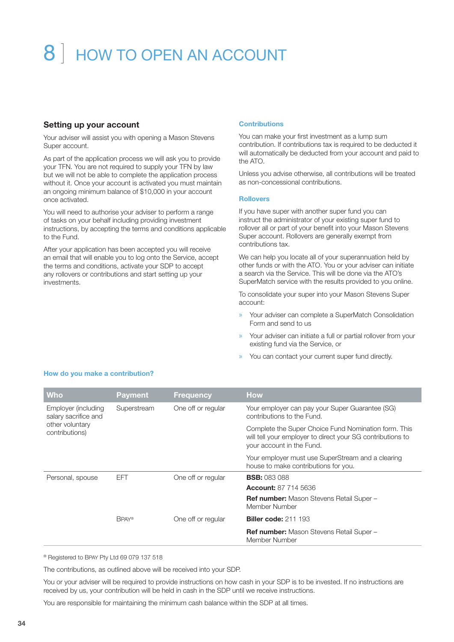## 8 | HOW TO OPEN AN ACCOUNT

## **Setting up your account**

Your adviser will assist you with opening a Mason Stevens Super account.

As part of the application process we will ask you to provide your TFN. You are not required to supply your TFN by law but we will not be able to complete the application process without it. Once your account is activated you must maintain an ongoing minimum balance of \$10,000 in your account once activated.

You will need to authorise your adviser to perform a range of tasks on your behalf including providing investment instructions, by accepting the terms and conditions applicable to the Fund.

After your application has been accepted you will receive an email that will enable you to log onto the Service, accept the terms and conditions, activate your SDP to accept any rollovers or contributions and start setting up your investments.

## **Contributions**

You can make your first investment as a lump sum contribution. If contributions tax is required to be deducted it will automatically be deducted from your account and paid to the ATO.

Unless you advise otherwise, all contributions will be treated as non-concessional contributions.

## **Rollovers**

If you have super with another super fund you can instruct the administrator of your existing super fund to rollover all or part of your benefit into your Mason Stevens Super account. Rollovers are generally exempt from contributions tax.

We can help you locate all of your superannuation held by other funds or with the ATO. You or your adviser can initiate a search via the Service. This will be done via the ATO's SuperMatch service with the results provided to you online.

To consolidate your super into your Mason Stevens Super account:

- » Your adviser can complete a SuperMatch Consolidation Form and send to us
- » Your adviser can initiate a full or partial rollover from your existing fund via the Service, or
- » You can contact your current super fund directly.

| <b>Who</b>                                                                       | <b>Payment</b> | <b>Frequency</b>   | <b>How</b>                                                                                                                                      |
|----------------------------------------------------------------------------------|----------------|--------------------|-------------------------------------------------------------------------------------------------------------------------------------------------|
| Employer (including<br>salary sacrifice and<br>other voluntary<br>contributions) | Superstream    | One off or regular | Your employer can pay your Super Guarantee (SG)<br>contributions to the Fund.                                                                   |
|                                                                                  |                |                    | Complete the Super Choice Fund Nomination form. This<br>will tell your employer to direct your SG contributions to<br>your account in the Fund. |
|                                                                                  |                |                    | Your employer must use SuperStream and a clearing<br>house to make contributions for you.                                                       |
| Personal, spouse                                                                 | <b>EFT</b>     | One off or regular | <b>BSB: 083 088</b>                                                                                                                             |
|                                                                                  |                |                    | <b>Account: 87 714 5636</b>                                                                                                                     |
|                                                                                  |                |                    | Ref number: Mason Stevens Retail Super -<br>Member Number                                                                                       |
|                                                                                  | <b>BPAY®</b>   | One off or regular | <b>Biller code: 211 193</b>                                                                                                                     |
|                                                                                  |                |                    | <b>Ref number:</b> Mason Stevens Retail Super -<br>Member Number                                                                                |

**How do you make a contribution?**

® Registered to BPAY Pty Ltd 69 079 137 518

The contributions, as outlined above will be received into your SDP.

You or your adviser will be required to provide instructions on how cash in your SDP is to be invested. If no instructions are received by us, your contribution will be held in cash in the SDP until we receive instructions.

You are responsible for maintaining the minimum cash balance within the SDP at all times.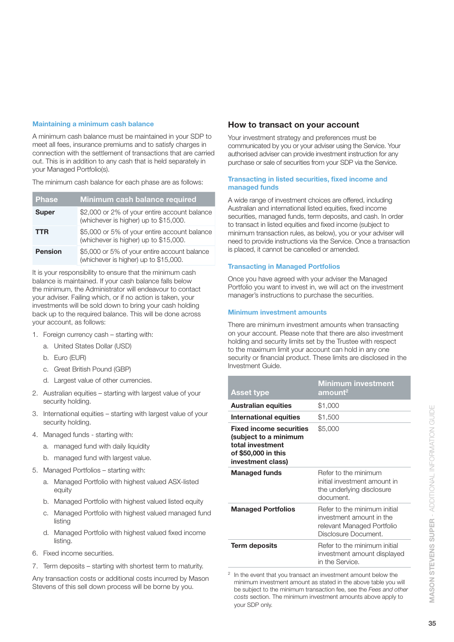## **Maintaining a minimum cash balance**

A minimum cash balance must be maintained in your SDP to meet all fees, insurance premiums and to satisfy charges in connection with the settlement of transactions that are carried out. This is in addition to any cash that is held separately in your Managed Portfolio(s).

The minimum cash balance for each phase are as follows:

| <b>Phase</b>   | <b>Minimum cash balance required</b>                                                  |
|----------------|---------------------------------------------------------------------------------------|
| <b>Super</b>   | \$2,000 or 2% of your entire account balance<br>(whichever is higher) up to \$15,000. |
| <b>TTR</b>     | \$5,000 or 5% of your entire account balance<br>(whichever is higher) up to \$15,000. |
| <b>Pension</b> | \$5,000 or 5% of your entire account balance<br>(whichever is higher) up to \$15,000. |
|                |                                                                                       |

It is your responsibility to ensure that the minimum cash balance is maintained. If your cash balance falls below the minimum, the Administrator will endeavour to contact your adviser. Failing which, or if no action is taken, your investments will be sold down to bring your cash holding back up to the required balance. This will be done across your account, as follows:

- 1. Foreign currency cash starting with:
	- a. United States Dollar (USD)
	- b. Euro (EUR)
	- c. Great British Pound (GBP)
	- d. Largest value of other currencies.
- 2. Australian equities starting with largest value of your security holding.
- 3. International equities starting with largest value of your security holding.
- 4. Managed funds starting with:
	- a. managed fund with daily liquidity
	- b. managed fund with largest value.
- 5. Managed Portfolios starting with:
	- a. Managed Portfolio with highest valued ASX-listed equity
	- b. Managed Portfolio with highest valued listed equity
	- c. Managed Portfolio with highest valued managed fund listing
	- d. Managed Portfolio with highest valued fixed income listing.
- 6. Fixed income securities.
- 7. Term deposits starting with shortest term to maturity.

Any transaction costs or additional costs incurred by Mason Stevens of this sell down process will be borne by you.

## **How to transact on your account**

Your investment strategy and preferences must be communicated by you or your adviser using the Service. Your authorised adviser can provide investment instruction for any purchase or sale of securities from your SDP via the Service.

## **Transacting in listed securities, fixed income and managed funds**

A wide range of investment choices are offered, including Australian and international listed equities, fixed income securities, managed funds, term deposits, and cash. In order to transact in listed equities and fixed income (subject to minimum transaction rules, as below), you or your adviser will need to provide instructions via the Service. Once a transaction is placed, it cannot be cancelled or amended.

## **Transacting in Managed Portfolios**

Once you have agreed with your adviser the Managed Portfolio you want to invest in, we will act on the investment manager's instructions to purchase the securities.

## **Minimum investment amounts**

There are minimum investment amounts when transacting on your account. Please note that there are also investment holding and security limits set by the Trustee with respect to the maximum limit your account can hold in any one security or financial product. These limits are disclosed in the Investment Guide.

| <b>Asset type</b>                                                                                                       | <b>Minimum investment</b><br>amount <sup>2</sup>                                                               |
|-------------------------------------------------------------------------------------------------------------------------|----------------------------------------------------------------------------------------------------------------|
| <b>Australian equities</b>                                                                                              | \$1,000                                                                                                        |
| International equities                                                                                                  | \$1,500                                                                                                        |
| <b>Fixed income securities</b><br>(subject to a minimum<br>total investment<br>of \$50,000 in this<br>investment class) | \$5,000                                                                                                        |
| <b>Managed funds</b>                                                                                                    | Refer to the minimum<br>initial investment amount in<br>the underlying disclosure<br>document.                 |
| <b>Managed Portfolios</b>                                                                                               | Refer to the minimum initial<br>investment amount in the<br>relevant Managed Portfolio<br>Disclosure Document. |
| Term deposits                                                                                                           | Refer to the minimum initial<br>investment amount displayed<br>in the Service.                                 |

2 In the event that you transact an investment amount below the minimum investment amount as stated in the above table you will be subject to the minimum transaction fee, see the *Fees and other costs* section. The minimum investment amounts above apply to your SDP only.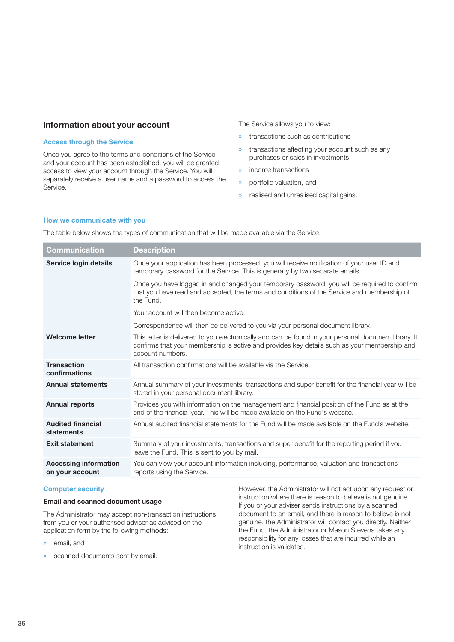## **Information about your account**

## **Access through the Service**

Once you agree to the terms and conditions of the Service and your account has been established, you will be granted access to view your account through the Service. You will separately receive a user name and a password to access the Service.

The Service allows you to view:

- » transactions such as contributions
- » transactions affecting your account such as any purchases or sales in investments
- » income transactions
- » portfolio valuation, and
- » realised and unrealised capital gains.

#### **How we communicate with you**

The table below shows the types of communication that will be made available via the Service.

| Once your application has been processed, you will receive notification of your user ID and<br>Service login details<br>temporary password for the Service. This is generally by two separate emails.<br>Once you have logged in and changed your temporary password, you will be required to confirm<br>that you have read and accepted, the terms and conditions of the Service and membership of<br>the Fund. |  |
|------------------------------------------------------------------------------------------------------------------------------------------------------------------------------------------------------------------------------------------------------------------------------------------------------------------------------------------------------------------------------------------------------------------|--|
|                                                                                                                                                                                                                                                                                                                                                                                                                  |  |
|                                                                                                                                                                                                                                                                                                                                                                                                                  |  |
| Your account will then become active.                                                                                                                                                                                                                                                                                                                                                                            |  |
| Correspondence will then be delivered to you via your personal document library.                                                                                                                                                                                                                                                                                                                                 |  |
| <b>Welcome letter</b><br>This letter is delivered to you electronically and can be found in your personal document library. It<br>confirms that your membership is active and provides key details such as your membership and<br>account numbers.                                                                                                                                                               |  |
| <b>Transaction</b><br>All transaction confirmations will be available via the Service.<br>confirmations                                                                                                                                                                                                                                                                                                          |  |
| <b>Annual statements</b><br>Annual summary of your investments, transactions and super benefit for the financial year will be<br>stored in your personal document library.                                                                                                                                                                                                                                       |  |
| <b>Annual reports</b><br>Provides you with information on the management and financial position of the Fund as at the<br>end of the financial year. This will be made available on the Fund's website.                                                                                                                                                                                                           |  |
| Annual audited financial statements for the Fund will be made available on the Fund's website.<br><b>Audited financial</b><br>statements                                                                                                                                                                                                                                                                         |  |
| <b>Exit statement</b><br>Summary of your investments, transactions and super benefit for the reporting period if you<br>leave the Fund. This is sent to you by mail.                                                                                                                                                                                                                                             |  |
| <b>Accessing information</b><br>You can view your account information including, performance, valuation and transactions<br>reports using the Service.<br>on your account                                                                                                                                                                                                                                        |  |

### **Computer security**

## **Email and scanned document usage**

The Administrator may accept non-transaction instructions from you or your authorised adviser as advised on the application form by the following methods:

- » email, and
- » scanned documents sent by email.

However, the Administrator will not act upon any request or instruction where there is reason to believe is not genuine. If you or your adviser sends instructions by a scanned document to an email, and there is reason to believe is not genuine, the Administrator will contact you directly. Neither the Fund, the Administrator or Mason Stevens takes any responsibility for any losses that are incurred while an instruction is validated.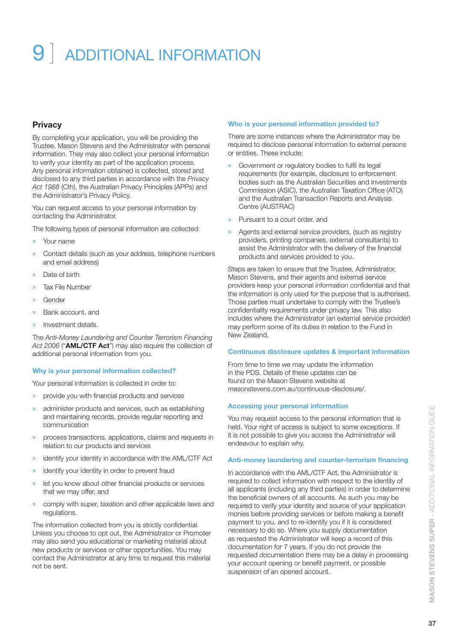## 9 ] ADDITIONAL INFORMATION

## **Privacy**

By completing your application, you will be providing the Trustee, Mason Stevens and the Administrator with personal information. They may also collect your personal information to verify your identity as part of the application process. Any personal information obtained is collected, stored and disclosed to any third parties in accordance with the *Privacy Act 1988* (Cth), the Australian Privacy Principles (APPs) and the Administrator's Privacy Policy.

You can request access to your personal information by contacting the Administrator.

The following types of personal information are collected:

- » Your name
- » Contact details (such as your address, telephone numbers and email address)
- » Date of birth
- » Tax File Number
- » Gender
- » Bank account, and
- » Investment details.

The *Anti-Money Laundering and Counter Terrorism Financing Act 2006* ("**AML/CTF Act**") may also require the collection of additional personal information from you.

#### **Why is your personal information collected?**

Your personal information is collected in order to:

- » provide you with financial products and services
- administer products and services, such as establishing and maintaining records, provide regular reporting and communication
- » process transactions, applications, claims and requests in relation to our products and services
- » identify your identity in accordance with the AML/CTF Act
- » identify your identity in order to prevent fraud
- let you know about other financial products or services that we may offer, and
- » comply with super, taxation and other applicable laws and regulations.

The information collected from you is strictly confidential. Unless you choose to opt out, the Administrator or Promoter may also send you educational or marketing material about new products or services or other opportunities. You may contact the Administrator at any time to request this material not be sent.

#### **Who is your personal information provided to?**

There are some instances where the Administrator may be required to disclose personal information to external persons or entities. These include:

- Government or regulatory bodies to fulfil its legal requirements (for example, disclosure to enforcement bodies such as the Australian Securities and Investments Commission (ASIC), the Australian Taxation Office (ATO) and the Australian Transaction Reports and Analysis Centre (AUSTRAC)
- » Pursuant to a court order, and
- Agents and external service providers, (such as registry providers, printing companies, external consultants) to assist the Administrator with the delivery of the financial products and services provided to you.

Steps are taken to ensure that the Trustee, Administrator, Mason Stevens, and their agents and external service providers keep your personal information confidential and that the information is only used for the purpose that is authorised. Those parties must undertake to comply with the Trustee's confidentiality requirements under privacy law. This also includes where the Administrator (an external service provider) may perform some of its duties in relation to the Fund in New Zealand.

#### **Continuous disclosure updates & important information**

From time to time we may update the information in the PDS. Details of these updates can be found on the Mason Stevens website at [masonstevens.com.au/continuous-disclosure/.](http://www.masonstevens.com.au/continuous-disclosure/)

#### **Accessing your personal information**

You may request access to the personal information that is held. Your right of access is subject to some exceptions. If it is not possible to give you access the Administrator will endeavour to explain why.

#### **Anti-money laundering and counter-terrorism financing**

In accordance with the AML/CTF Act, the Administrator is required to collect information with respect to the identity of all applicants (including any third parties) in order to determine the beneficial owners of all accounts. As such you may be required to verify your identity and source of your application monies before providing services or before making a benefit payment to you, and to re-identify you if it is considered necessary to do so. Where you supply documentation as requested the Administrator will keep a record of this documentation for 7 years. If you do not provide the requested documentation there may be a delay in processing your account opening or benefit payment, or possible suspension of an opened account.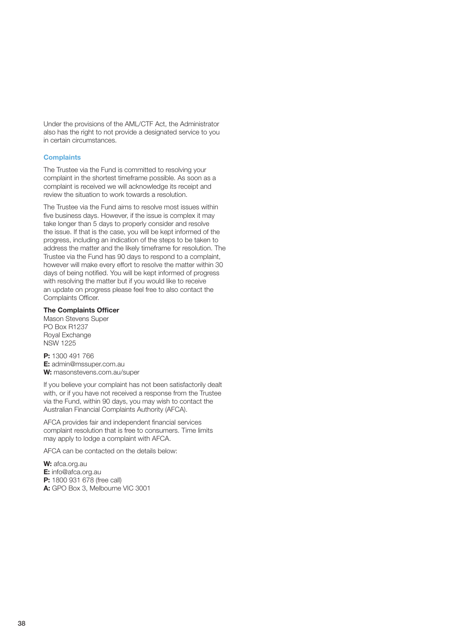Under the provisions of the AML/CTF Act, the Administrator also has the right to not provide a designated service to you in certain circumstances.

## **Complaints**

The Trustee via the Fund is committed to resolving your complaint in the shortest timeframe possible. As soon as a complaint is received we will acknowledge its receipt and review the situation to work towards a resolution.

The Trustee via the Fund aims to resolve most issues within five business days. However, if the issue is complex it may take longer than 5 days to properly consider and resolve the issue. If that is the case, you will be kept informed of the progress, including an indication of the steps to be taken to address the matter and the likely timeframe for resolution. The Trustee via the Fund has 90 days to respond to a complaint, however will make every effort to resolve the matter within 30 days of being notified. You will be kept informed of progress with resolving the matter but if you would like to receive an update on progress please feel free to also contact the Complaints Officer.

### **The Complaints Officer**

Mason Stevens Super PO Box R1237 Royal Exchange NSW 1225

**P:** 1300 491 766 **E:** admin@mssuper.com.au **W:** masonstevens.com.au/super

If you believe your complaint has not been satisfactorily dealt with, or if you have not received a response from the Trustee via the Fund, within 90 days, you may wish to contact the Australian Financial Complaints Authority (AFCA).

AFCA provides fair and independent financial services complaint resolution that is free to consumers. Time limits may apply to lodge a complaint with AFCA.

AFCA can be contacted on the details below:

**W:** afca.org.au **E:** info@afca.org.au **P:** 1800 931 678 (free call) **A:** GPO Box 3, Melbourne VIC 3001